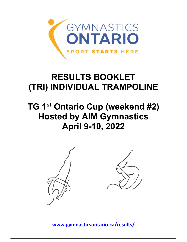

## **RESULTS BOOKLET (TRI) INDIVIDUAL TRAMPOLINE**

## **TG 1st Ontario Cup (weekend #2) Hosted by AIM Gymnastics April 9-10, 2022**



**[www.gymnasticsontario.ca/results/](https://www.gymnasticsontario.ca/results/)**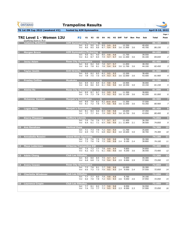**Vol** 6.8 6.8 7.2 7.0 9.4 9.4 2.9 8.900 2.9 37.900 *73.200 13*

| <b>GYMNASTICS</b><br><b>ONTARIO</b><br><b>SPORT STARTS HERE</b> | <b>Trampoline Results</b>                                                                                                                                                              |                  |                         |                                           |
|-----------------------------------------------------------------|----------------------------------------------------------------------------------------------------------------------------------------------------------------------------------------|------------------|-------------------------|-------------------------------------------|
| <b>TG 1st ON Cup 2022 (weekend #2)</b>                          | hosted by AIM Gymnastics                                                                                                                                                               |                  | <b>April 8-10, 2022</b> |                                           |
| TRI Level 1 - Women 12U<br>Qualifying Score is 76.0             | <b>P2</b><br>E1<br>E <sub>2</sub><br>E <sub>3</sub><br>E4<br>H1<br>H <sub>2</sub><br><b>Diff</b><br><b>ToF</b><br><b>Bon Pen</b>                                                       | Sub              | <b>Total</b>            | Page 1<br>Posn                            |
| <b>Julianne McKeown</b><br>L                                    | <b>AIM Gymnastics Pickering</b><br>$\bullet$<br>9.2<br>9.3<br>8.9<br>9.9<br>12.350<br>9.0<br>9.9<br><b>Set</b><br>8.6<br>9.4<br>8.6<br>8.5<br>8.7<br>9.4<br>3.6 11.900<br>3.6<br>Vol   | 40.450<br>45.700 | 86.150<br>86.150        | $\mathbf{1}$<br>$\it 1$                   |
| <b>Morgan Bruce</b><br>2                                        | <b>AIM Gymnastics Pickering</b><br>$\bullet$<br>8.6<br>11.750<br>9.0<br>9.8<br>9.8<br>9.0<br>9.1<br><b>Set</b><br>8.5<br>8.2<br>8.7<br>7.9<br>9.7<br>9.7<br>3.6 11.500<br>3.6<br>Vol   | 39.550<br>45.100 | 84.650<br>84.650        | $\overline{\mathbf{2}}$<br>$\overline{2}$ |
| <b>Jacey Adam</b><br>3                                          | <b>Rose City Gymnastics</b><br>$\mathbf O$<br>8.6<br>9.0<br>7.8<br>8.2<br>9.7<br>9.7<br>11.850<br><b>Set</b><br>7.8<br>8.1<br>7.8<br>9.4<br>9.4<br>8.0<br>3.6 11.700<br>Vol<br>3.6     | 38.350<br>44.100 | 82.450<br>82.450        | $\overline{\mathbf{3}}$<br>$\mathfrak{Z}$ |
| <b>Taylor Smith</b>                                             | <b>Anti-Gravity</b><br>$\overline{\mathbf{o}}$<br>8.5<br>8.2<br>9.0<br>8.2<br>9.5<br>9.5<br>12.200<br><b>Set</b><br>7.8<br>7.5<br>7.5<br>6.9<br>9.3<br>9.3<br>3.6 12.000<br>3.6<br>Vol | 38.400<br>43.500 | 81.900<br>81.900        | $\overline{\mathbf{4}}$<br>4              |
| <b>Presley Collins</b><br>5                                     | <b>Muskoka</b><br>$\mathbf O$<br>8.4<br>8.9<br>8.3<br>8.9<br>9.8<br>9.8<br>10.900<br><b>Set</b><br>8.6<br>8.6<br>8.4<br>8.1<br>9.6<br>9.6<br>3.0 10.550<br>Vol<br>3.0                  | 38.000<br>43.150 | 81.150<br>81.150        | 5<br>5                                    |
| <b>Alaina Ha</b><br>6                                           | <b>Rose City Gymnastics</b><br>$\mathbf O$<br>8.7<br>9.0<br>9.9<br>8.9<br>8.7<br>9.9<br>11,300<br><b>Set</b><br>7.3<br>7.8<br>7.3<br>9.2<br>9.2<br>7.4<br>3.6 11.100<br>Vol<br>3.6     | 38.800<br>42.200 | 81.000<br>81.000        | $6\phantom{1}6$<br>6                      |
| <b>Mckenna Kendall</b><br>7                                     | <b>Manjak's Gymnastics</b><br>O<br>11.350<br>Set 8.0 7.9 8.2<br>8.2 10.0 10.0<br>Vol 8.1 7.2 7.8 7.7 9.6 9.6 3.6 11.050 3.6                                                            | 37.550<br>43.350 | 80.900<br>80.900        | $\overline{\mathbf{z}}$<br>$\overline{z}$ |
| <b>Logan Sims</b><br>8                                          | <b>Manjak's Gymnastics</b><br>$\mathbf O$<br>Set 8.1 8.4<br>8.6 8.5 9.8<br>9.8<br>10.650<br>8.1<br>$7.9$ $9.5$ $9.5$<br>7.7<br>7.7<br>3.6 10.750 3.6<br>Vol                            | 37.350<br>43.050 | 80.400<br>80.400        | $\bf{8}$<br>8                             |
| <b>Kierra Pheasant</b><br>$\overline{9}$                        | <b>Sudbury Laurels</b><br>$7.7$ 9.7<br><b>Set 7.0</b><br>7.6<br>7.6<br>9.7<br>11.450<br>7.1 6.5 9.6 9.6<br>Vol 6.4<br>6.1<br>2.1 11.800<br>2.1                                         | 36.350<br>38.500 | 74.850<br>74.850        | $\overline{9}$<br>$\mathfrak g$           |
| <b>Ava Renshaw</b><br><b>10</b>                                 | <b>Vertical Zone</b><br>7.3<br>7.9<br>$7.2$ 9.4<br>11.700<br><b>Set</b><br>7.1<br>9.4<br>Vol 6.9<br>7.0<br>7.1<br>6.8 8.2 8.2<br>3.0 10.600<br>3.0                                     | 35.600<br>38.700 | 74.300<br>74.300        | $\overline{10}$<br>10                     |
| 11 Annabella Rossini                                            | <b>Grand River Gymmies</b><br>Set 7.9 7.6<br>7.9<br>$7.9$ $9.8$<br>9.8<br>9.700<br>7.8<br>7.3<br>7.6<br>7.5<br>9.8<br>$9.8$ 2.4<br>9.100 2.4<br>Vol                                    | 35.300<br>38.800 | 74.100<br>74.100        | 11<br>11                                  |
| <b>Maya Lederman</b><br>12 <sub>1</sub>                         | <b>Airborne Trampoline KW</b><br>7.7<br>$7.8$ 9.9<br>7.4<br>7.3<br>9.9<br>9.850<br><b>Set</b><br>Vol 6.2<br>7.1<br>$6.1$ 9.6<br>6.3<br>9.6<br>3.6 9.250<br>3.6                         | 34.850<br>38.550 | 73.400<br>73.400        | 12<br>12                                  |
| <b>Adele Cheng</b><br>13                                        | <b>Club Les Sittelles</b><br>8.0 8.5 7.5 9.7 9.7<br>9.600<br><b>Set 8.0</b>                                                                                                            | 35.300           | 73.200                  | 13                                        |

| $\boxed{14}$ | <b>Avery Cowen</b>        | <b>Rose City Gymnastics</b>                                                                                                                                | 72.850 | 14 |
|--------------|---------------------------|------------------------------------------------------------------------------------------------------------------------------------------------------------|--------|----|
|              |                           | 35.300<br>10.000<br>9.8<br>7.5<br>7.8<br>8.1<br>9.8<br><b>Set</b><br>7.7<br>37.550<br>7.2<br>7.3<br>9.050<br>7.0<br>9.5<br>9.5<br>6.6<br>Vol<br>2.4<br>2.4 | 72.850 | 14 |
| 15           | <b>Charlotte Windover</b> | <b>Club Les Sittelles</b>                                                                                                                                  | 72.050 | 15 |
|              |                           | 9.8<br>8.700<br>34.100<br>7.7<br>8.0<br>9.8<br>7.9<br>7.7<br><b>Set</b>                                                                                    |        |    |
|              |                           | 37.950<br>7.0<br>$7.2$ 9.5<br>$9.050$ 2.6<br>6.6<br>7.8<br>2.6<br>Vol<br>9.5                                                                               | 72.050 | 15 |
| <b>16</b>    | <b>Laurence Crepin</b>    | <b>Club Les Sittelles</b>                                                                                                                                  | 72.050 | 16 |
|              |                           | 8.950<br>34.550<br>9.8<br>7.7<br>8.2<br>9.8<br>8.1<br>7.7<br><b>Set</b>                                                                                    |        |    |
|              |                           | 7.5<br>8.500<br>37.500<br>7.7<br>7.3<br>9.5<br>2.3<br>Vol<br>7.4<br>9.5<br>2.3                                                                             | 72.050 | 16 |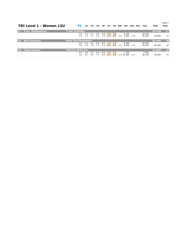*Page 2*

|           | TRI Level 1 - Women 12U |                             | P <sub>2</sub>    | E1         | E2         | E3         | E4         | H1            | H2         | <b>Diff</b> | ToF                 | Bon | Pen | Sub              | Total  | Posn      |
|-----------|-------------------------|-----------------------------|-------------------|------------|------------|------------|------------|---------------|------------|-------------|---------------------|-----|-----|------------------|--------|-----------|
| <b>17</b> | Yuzu Moldenhaver        | <b>T-Dot Tumblers</b>       |                   |            |            |            |            |               |            |             |                     |     |     |                  | 69.400 | $17$      |
|           |                         |                             | <b>Set</b><br>Vol | 6.5<br>7.3 | 6.1<br>7.1 | 6.6<br>7.6 | 6.8<br>7.4 | 7.9<br>9.9    | 7.9<br>9.9 | 3.0         | 8.150<br>9.650      | 3.0 |     | 29.150<br>40.250 | 69.400 | 17        |
| <b>18</b> | <b>Nina Andrews</b>     | <b>Rose City Gymnastics</b> |                   |            |            |            |            |               |            |             |                     |     |     |                  | 65.400 | <b>18</b> |
|           |                         |                             | Set.<br>Vol       | 6.4<br>7.0 | 6.9<br>7.0 | 6.6<br>7.4 | 6.2<br>7.3 | $-7.9$<br>9.4 | 7.9<br>9.4 | 1.5         | 8.200<br>9.600      | 1.5 |     | 29.100<br>36.300 | 65,400 | 18        |
| <b>19</b> | <b>Chloe Huerter</b>    | <b>Velocity Sport Inc.</b>  |                   |            |            |            |            |               |            |             |                     |     |     |                  | 42.000 | <b>19</b> |
|           |                         |                             | <b>Set</b><br>Vol | 0.6<br>6.7 | 0.6<br>6.4 | 0.6<br>7.1 | 0.6<br>6.9 | 1.0<br>9.2    | 1.0<br>9.2 |             | 1.100<br>2.5 10.900 | 2.5 |     | 3.300<br>38.700  | 42.000 | 19        |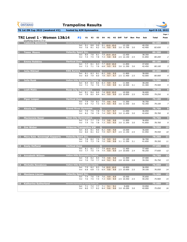**Vol** 7.0 7.0 7.7 6.8 9.2 9.2 2.8 10.550 2.8 39.350 *76.750 13*

| <b>GYMNASTICS</b><br><b>ONTARIO</b><br><b>SPORT STARTS HERE</b> | <b>Trampoline Results</b>                              |                   |                                            |            |            |                |                      |                 |                     |                                                      |     |                |                  |                  |                         |
|-----------------------------------------------------------------|--------------------------------------------------------|-------------------|--------------------------------------------|------------|------------|----------------|----------------------|-----------------|---------------------|------------------------------------------------------|-----|----------------|------------------|------------------|-------------------------|
| TG 1st ON Cup 2022 (weekend #2)                                 | hosted by AIM Gymnastics                               |                   |                                            |            |            |                |                      |                 |                     |                                                      |     |                |                  | April 8-10, 2022 |                         |
| <b>TRI Level 1 - Women 13&amp;14</b>                            |                                                        | <b>P2</b>         | E1                                         | E2         | E3         | Ε4             | H1                   |                 | H <sub>2</sub> Diff | ToF                                                  |     | <b>Bon Pen</b> | Sub              | <b>Total</b>     | Page 1<br>Posn          |
| Qualifying Score is 77.0<br><b>Cadence Skimming</b><br>ш        | <b>Adrenaline Gymnastics &amp; Training Centre Ltd</b> |                   |                                            |            |            | $\overline{O}$ |                      |                 |                     |                                                      |     |                |                  | 82.650           | $\mathbf{1}$            |
|                                                                 |                                                        | <b>Set</b><br>Vol | 9.1<br>7.6                                 | 8.8<br>8.1 | 9.0<br>8.2 | 7.6            | 9.1 10.0 10.0<br>9.0 | 9.0             |                     | 12.150<br>3.0 11.700                                 | 3.0 |                | 40.250<br>42.400 | 82.650           | $\mathbf{1}$            |
| <b>Tessa Moore</b>                                              | <b>Velocity Sport Inc.</b>                             |                   |                                            |            |            | O              |                      |                 |                     |                                                      |     |                |                  | 80.200           | $\overline{\mathbf{2}}$ |
|                                                                 |                                                        | <b>Set</b><br>Vol | 8.0<br>7.4                                 | 7.8<br>7.5 | 8.1<br>7.8 | 7.3            | 7.9 10.0 10.0<br>9.8 | 9.8             |                     | 12.450<br>2.5 12.150                                 | 2.5 |                | 38.350<br>41.850 | 80.200           | $\overline{2}$          |
| <b>Emme Robbins</b><br>3                                        | <b>Vertical Zone</b>                                   |                   |                                            |            |            | $\mathbf O$    |                      |                 |                     |                                                      |     |                |                  | 80.100           | $\overline{\mathbf{3}}$ |
|                                                                 |                                                        | <b>Set</b><br>Vol | 7.7<br>7.3                                 | 8.1<br>7.1 | 8.3<br>7.6 | 6.8            | 7.7 10.0 10.0<br>9.5 | 9.5             |                     | 11.850<br>3.6 11.350                                 | 3.6 |                | 37.650<br>42.450 | 80.100           | 3                       |
| <b>Julia Mikhail</b><br>$\overline{4}$                          | <b>KSG Aurora</b>                                      |                   |                                            |            |            | $\mathbf O$    |                      |                 |                     |                                                      |     |                |                  | 80.000           | $\overline{\mathbf{4}}$ |
|                                                                 |                                                        | <b>Set</b><br>Vol | 8.1<br>8.0                                 | 8.3<br>7.9 | 8.1<br>8.0 | 8.2<br>7.8     | 9.9<br>9.7           | 9.9<br>9.7      |                     | 11.800<br>2.5 11.400                                 | 2.5 |                | 38.000<br>42.000 | 80.000           | 4                       |
| <b>Julia Rusk</b>                                               | <b>Halton Hills Gymnastics Centre</b>                  |                   |                                            |            |            | $\bullet$      |                      |                 |                     |                                                      |     |                |                  | 79.500           | 5                       |
|                                                                 |                                                        | Set<br>Vol        | 8.4<br>7.1                                 | 8.4<br>7.6 | 8.6<br>7.6 | 8.3<br>7.1     | 9.9<br>9.9           | 9.9<br>9.9      |                     | 11.500<br>3.1 10.500                                 | 3.1 |                | 38.200<br>41.300 | 79.500           | 5                       |
| <b>Leah Matic</b><br>6                                          | <b>Rose City Gymnastics</b>                            |                   |                                            |            |            | $\bullet$      |                      |                 |                     |                                                      |     |                |                  | 79.250           | $6\phantom{1}6$         |
|                                                                 |                                                        | <b>Set</b><br>Vol | 8.1<br>7.9                                 | 8.4<br>8.5 | 8.0<br>8.4 | 8.6            | $7.8$ 10.0<br>9.9    | 10.0<br>9.9     |                     | 10.500<br>2.5 10.850                                 | 2.5 |                | 36.600<br>42.650 | 79,250           | 6                       |
| <b>Piper Leeper</b>                                             | <b>Vertical Zone</b>                                   |                   |                                            |            |            | Q              |                      |                 |                     |                                                      |     |                |                  | 79.100           | 7                       |
|                                                                 |                                                        |                   | Set 7.9 7.9 8.1                            |            |            |                | $7.6$ 9.6            | 9.6             |                     | 11.350<br>Vol 6.9 7.2 7.3 6.4 9.5 9.5 3.6 11.550 3.6 |     |                | 36.750<br>42.350 | 79.100           | $\overline{z}$          |
| <b>Alexis Fox</b><br>8                                          | <b>Grand River Gymmies</b>                             |                   |                                            |            |            | Q              |                      |                 |                     |                                                      |     |                |                  | 78.700           | $\overline{\mathbf{8}}$ |
|                                                                 |                                                        |                   | Set 7.9 7.5<br>Vol 8.2 7.8                 |            |            |                |                      | 7.8 7.5 9.7 9.7 |                     | 11.050<br>7.9 7.4 9.5 9.5 3.0 11.450 3.0             |     |                | 36.050<br>42.650 | 78.700           | $\boldsymbol{8}$        |
| <b>Mackenzie Basar</b><br>$\overline{9}$                        | <b>Rose City Gymnastics Q</b>                          |                   |                                            |            |            |                |                      |                 |                     |                                                      |     |                |                  | 78.700           | $\overline{9}$          |
|                                                                 |                                                        |                   | Set 7.2 7.7 7.9 7.5 9.8 9.8<br>Vol 7.4 7.6 |            | 7.8        |                |                      | $7.3$ 9.5 9.5   |                     | 11.850<br>3.0 11.350 3.0                             |     |                | 36.850<br>41.850 | 78.700           | $\boldsymbol{9}$        |
| 10 Zoe Weber                                                    | Airborne Trampoline KW Q                               |                   |                                            |            |            |                |                      |                 |                     |                                                      |     |                |                  | 78.550           | 10                      |
|                                                                 |                                                        |                   | Set 8.5 8.1 8.0 8.2 9.8 9.8                |            |            |                |                      |                 |                     | 10.500<br>Vol 8.0 8.1 8.2 7.9 9.7 9.7 2.5 11.150 2.5 |     |                | 36.600<br>41.950 | 78.550           | 10                      |
| 11 Mary Kate Kavanagh Kapparis                                  | <b>Velocity Sport Inc.</b>                             |                   |                                            |            |            | $ \mathbf{Q} $ |                      |                 |                     |                                                      |     |                |                  | 78.350           | $\overline{11}$         |
|                                                                 |                                                        |                   | Set 7.8 8.2                                |            |            |                |                      | 7.9 7.8 9.9 9.9 |                     | 11.100<br>Vol 7.0 7.3 7.8 7.0 9.8 9.8 3.1 11.350 3.1 |     |                | 36.700<br>41.650 | 78.350           | 11                      |
| 12 Keely Hofland                                                | <b>Vertical Zone</b>                                   |                   |                                            |            |            | $\overline{Q}$ |                      |                 |                     |                                                      |     |                |                  | 77.650           | 12                      |
|                                                                 |                                                        |                   | Set 8.1 8.1 7.7 7.9 10.0 10.0              |            |            |                |                      |                 |                     | 11.400<br>Vol 7.7 7.5 7.4 7.4 9.9 9.9 2.4 10.650 2.4 |     |                | 37.400<br>40.250 | 77.650           | 12                      |
| 13 Annabeth Wilson                                              | <b>Halton Hills Gymnastics Centre</b>                  |                   |                                            |            |            |                |                      |                 |                     |                                                      |     |                |                  | 76.750           | 13                      |
|                                                                 |                                                        |                   | Set 7.8 8.2 8.4 7.9 9.8 9.8                |            |            |                |                      |                 |                     | 11.500                                               |     |                | 37.400           |                  |                         |

| $\vert$ 14 | <b>Michelle Novakova</b>    | <b>Halton Hills Gymnastics Centre</b>                  |     |     |     |     |      |      |                |     |        | 76.050 | 14 |
|------------|-----------------------------|--------------------------------------------------------|-----|-----|-----|-----|------|------|----------------|-----|--------|--------|----|
|            |                             | <b>Set</b>                                             | 7.9 | 8.2 | 8.3 | 7.8 | 10.0 | 10.0 | 10.850         |     | 36.950 |        |    |
|            |                             | Vol                                                    | 6.8 | 6.8 | 7.3 | 6.9 | 9.8  | 9.8  | 2.5 10.600     | 2.5 | 39.100 | 76.050 | 14 |
| 15         | <b>Montana Liscum</b>       | <b>Velocity Sport Inc.</b>                             |     |     |     |     |      |      |                |     |        | 75.900 | 15 |
|            |                             | <b>Set</b>                                             | 7.4 | 7.6 | 7.9 | 7.6 | 9.9  | 9.9  | 10.550         |     | 35.650 |        |    |
|            |                             | Vol                                                    | 7.6 | 7.5 | 7.4 | 7.3 | 9.9  | 9.9  | 2.5 10.450 2.5 |     | 40.250 | 75.900 | 15 |
|            | <b>Katherine Sutherland</b> | <b>Adrenaline Gymnastics &amp; Training Centre Ltd</b> |     |     |     |     |      |      |                |     |        | 75.050 | 16 |
|            |                             | <b>Set</b>                                             | 7.1 | 7.2 | 7.7 | 7.1 | 9.1  | 9.1  | 9.650          |     | 33.050 |        |    |
|            |                             | Vol                                                    | 8.0 | 7.7 | 8.2 | 8.4 | 9.6  | 9.6  | 3.0 10.200     | 3.0 | 42.000 | 75.050 | 16 |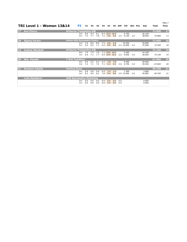*Page 2*

| TRI Level 1 - Women 13&14 P2 E1 E2 E3 E4 H1 H2 Diff ToF Bon Pen Sub Total Posn |  |  |  |  |  |  |  |  |  |  |  |  |  |  |
|--------------------------------------------------------------------------------|--|--|--|--|--|--|--|--|--|--|--|--|--|--|
|--------------------------------------------------------------------------------|--|--|--|--|--|--|--|--|--|--|--|--|--|--|

| $17$      | <b>Ava Cherry</b>      | <b>Airborne Trampoline KW</b>         |                   |            |            |            |            |                          |              |            |                      |     |                  | 74.800 | $17$                     |
|-----------|------------------------|---------------------------------------|-------------------|------------|------------|------------|------------|--------------------------|--------------|------------|----------------------|-----|------------------|--------|--------------------------|
|           |                        |                                       | <b>Set</b><br>Vol | 8.0<br>7.2 | 8.3<br>7.7 | 8.1<br>7.8 | 7.1        | 8.4 10.0<br>9.6          | 10.0<br>9.6  | 2.5        | 9.750<br>9.150       | 2.5 | 36.150<br>38.650 | 74.800 | 17                       |
| <b>18</b> | <b>Signey Karker</b>   | <b>Halton Hills Gymnastics Centre</b> |                   |            |            |            |            |                          |              |            |                      |     |                  | 72.950 | 18                       |
|           |                        |                                       | <b>Set</b><br>Vol | 7.6<br>6.5 | 8.0<br>6.5 | 8.0<br>7.1 | 7.5<br>6.4 | 9.8<br>8.6               | 9.8<br>8.6   |            | 10.550<br>2.4 10.600 | 2.4 | 35.950<br>37.000 | 72.950 | 18                       |
| <b>19</b> | <b>Audrey Marshall</b> | <b>Airborne Trampoline KW</b>         |                   |            |            |            |            |                          |              |            |                      |     |                  | 72.150 | <b>19</b>                |
|           |                        |                                       | <b>Set</b><br>Vol | 7.4<br>6.9 | 7.5<br>7.1 | 7.8<br>7.7 |            | $7.3$ 10.0<br>$6.9$ 10.0 | 10.0<br>10.0 | 2.5        | 9.200<br>9.050       | 2.5 | 34.100<br>38.050 | 72.150 | 19                       |
| <b>20</b> | <b>Nila Parekh</b>     | <b>T-Dot Tumblers</b>                 |                   |            |            |            |            |                          |              |            |                      |     |                  | 67.850 | $\overline{\mathbf{20}}$ |
|           |                        |                                       | <b>Set</b><br>Vol | 6.0<br>7.2 | 6.2<br>7.1 | 6.4<br>7.5 | 6.2<br>7.1 | 7.8<br>9.3               | 7.8<br>9.3   | 3.0        | 8.300<br>9.750       | 3.0 | 28.500<br>39.350 | 67.850 | 20                       |
| 21        | <b>Kendryn Catallo</b> | <b>Vertical Zone</b>                  |                   |            |            |            |            |                          |              |            |                      |     |                  | 49.750 | 21                       |
|           |                        |                                       | <b>Set</b><br>Vol | 0.8<br>8.2 | 0.8<br>8.0 | 0.8<br>8.2 | 0.9<br>7.8 | 1.0<br>9.6               | 1.0<br>9.6   |            | 1.300<br>3.6 12.850  | 3.6 | 3.900<br>45.850  | 49.750 | 21                       |
|           | <b>Leah MacNevin</b>   | <b>AIM Gymnastics Pickering</b>       |                   |            |            |            |            |                          |              |            |                      |     |                  |        |                          |
|           |                        |                                       | <b>Set</b><br>Vol | 0.0<br>0.0 | 0.0<br>0.0 | 0.0<br>0.0 | 0.0<br>0.0 | 0.0<br>0.0               | 0.0<br>0.0   | 0.0<br>0.0 |                      |     | 0.000<br>0.000   |        |                          |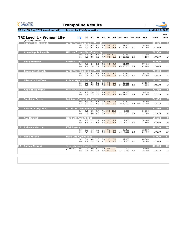|                         | <b>GYMNASTICS</b><br><b>ONTARIO</b><br><b>SPORT STARTS HERE</b> | <b>Trampoline Results</b>                              |                   |                                |                   |                |                         |               |                               |             |                                                 |     |                |                                                         |                  |                             |
|-------------------------|-----------------------------------------------------------------|--------------------------------------------------------|-------------------|--------------------------------|-------------------|----------------|-------------------------|---------------|-------------------------------|-------------|-------------------------------------------------|-----|----------------|---------------------------------------------------------|------------------|-----------------------------|
|                         | <b>TG 1st ON Cup 2022 (weekend #2)</b>                          | hosted by AIM Gymnastics                               |                   |                                |                   |                |                         |               |                               |             |                                                 |     |                |                                                         | April 8-10, 2022 |                             |
|                         | TRI Level 1 - Women 15+<br>Qualifying Score is 77.0             |                                                        | <b>P2</b>         | E1                             | E2                | E <sub>3</sub> | E4                      | H1            | H2                            | <b>Diff</b> | <b>ToF</b>                                      |     | <b>Bon Pen</b> | Sub                                                     | <b>Total</b>     | Page 1<br>Posn              |
| M.                      | <b>Kamryn Rattansingh</b>                                       | <b>Airborne Trampoline KW</b>                          | <b>Set</b><br>Vol | 8.6<br>8.0                     | 8.3<br>8.2        | 8.5<br>8.1     | $\bullet$<br>8.6<br>8.1 | 9.8<br>9.9    | 9.8<br>9.9                    |             | 11.800<br>3.1 10.400                            | 3.1 |                | 38.700<br>42.700                                        | 81.400<br>81.400 | $\mathbf 1$<br>$\mathbf{1}$ |
| $\overline{\mathbf{2}}$ | <b>Anne-Sophie Lacaille</b>                                     | <b>Ottawa Gymnastics Centre Q</b>                      | <b>Set</b>        | 8.8                            | 8.3               | 8.4            |                         |               | 8.5 10.0 10.0                 |             | 10.850                                          |     |                | 37.750                                                  | 79.300           | $\overline{\mathbf{2}}$     |
|                         |                                                                 |                                                        | Vol               | 7.8                            | 8.0               | 7.9            |                         | $7.7$ 9.9     | 9.9                           |             | 2.5 10.950                                      | 2.5 |                | 41.550                                                  | 79.300           | $\overline{2}$              |
| 3                       | <b>Emily Rimmer</b>                                             | <b>Vertical Zone</b>                                   |                   |                                |                   |                | $\mathbf O$             |               |                               |             |                                                 |     |                |                                                         | 79.000           | $\overline{\mathbf{3}}$     |
|                         |                                                                 |                                                        | <b>Set</b><br>Vol | 8.1<br>7.1                     | 8.4<br>7.0        | 8.1<br>7.1     | 8.0<br>6.5              | 9.8<br>9.7    | 9.8<br>9.7                    |             | 11,400<br>3.6 10.600                            | 3.6 |                | 37.400<br>41.600                                        | 79.000           | 3                           |
| $\overline{4}$          | <b>Isabella McIntosh</b>                                        | <b>Airborne Trampoline KW</b>                          |                   |                                |                   |                | $\bullet$               |               |                               |             |                                                 |     |                |                                                         | 78.450           | 4                           |
|                         |                                                                 |                                                        | Set<br>Vol        | 8.3<br>7.6                     | 8.1<br>7.3        | 8.1<br>7.8     | 7.9<br>7.3              | 9.5<br>9.4    | 9.5<br>9.4                    |             | 10.450<br>3.6 10.800                            | 3.6 |                | 36.150<br>42.300                                        | 78.450           | 4                           |
| 5                       | <b>Elisabeth Antifave</b>                                       | <b>Rideau Gymnastics</b>                               |                   |                                |                   |                | $\mathbf{O}$            |               |                               |             |                                                 |     |                |                                                         | 78.150           | 5                           |
|                         |                                                                 |                                                        | <b>Set</b><br>Vol | 8.6<br>7.5                     | 8.1<br>7.5        | 8.2<br>7.7     | 8.4<br>7.3              | 9.8<br>9.8    | 9.8<br>9.8                    |             | 10.650<br>2.9 10.500                            | 2.9 |                | 37.050<br>41.100                                        | 78.150           | 5                           |
| 6                       | <b>Akaylah Dawkins</b>                                          | <b>Adrenaline Gymnastics &amp; Training Centre Ltd</b> |                   |                                |                   |                | $\bullet$               |               |                               |             |                                                 |     |                |                                                         | 77.750           | $6\phantom{1}6$             |
|                         |                                                                 |                                                        | Set<br>Vol        | 7.8<br>8.1                     | 7.6<br>7.5        | 7.6<br>7.8     | 7.6<br>7.5              | 9.9<br>9.1    | 9.9<br>9.1                    |             | 11.150<br>3.0 11.100                            | 3.0 |                | 36.250<br>41.500                                        | 77.750           | 6                           |
| 7                       | <b>Sandrine Pozos</b>                                           | <b>Just Bounce Trampoline Club Inc.</b>                |                   |                                |                   |                |                         |               |                               |             |                                                 |     |                |                                                         | 74.450           | $\overline{z}$              |
|                         |                                                                 |                                                        |                   | Set 8.9 8.3 8.5 9.0<br>Vol 6.5 |                   |                |                         | $9.5^{\circ}$ | 9.5                           |             | 12,300                                          |     |                | 39.200<br>6.2 6.5 6.5 8.3 8.3 1.9 10.550 1.9 0.4 35.250 | 74.450           | $\overline{z}$              |
| $\vert$ 8               | Kristina Kobyakova                                              | <b>Airborne Trampoline KW</b>                          |                   |                                |                   |                |                         |               |                               |             |                                                 |     |                |                                                         | 71.450           | $\overline{\mathbf{8}}$     |
|                         |                                                                 |                                                        |                   | Vol 6.3 6.4                    |                   | 6.8            |                         |               | Set 7.2 6.9 7.4 7.1 10.0 10.0 |             | 9.850<br>6.0 9.3 9.3 2.9 9.500 2.9              |     |                | 34.150<br>37.300                                        | 71.450           | $\boldsymbol{8}$            |
| $\vert$ 9               | <b>Ava Deklerk</b>                                              | <b>Rose City Gymnastics</b>                            |                   |                                |                   |                |                         |               |                               |             |                                                 |     |                |                                                         | 61.600           | $\overline{9}$              |
|                         |                                                                 |                                                        | Vol               | Set 7.6 7.1                    | $5.2$ $5.1$       |                |                         |               | 7.2 7.4 9.7 9.7               |             | 9.900<br>5.1 4.8 6.7 6.7 1.8 6.900 1.8          |     |                | 34.200<br>27.400                                        | 61.600           | 9                           |
| 10                      | <b>Rebecca Mazzocco</b>                                         | <b>KSG Aurora</b>                                      |                   |                                |                   |                |                         |               |                               |             |                                                 |     |                |                                                         | 59.250           | 10                          |
|                         |                                                                 |                                                        |                   | Set 6.5 6.7<br>Vol 4.7         | 4.4               |                |                         |               | 7.0 6.5 9.2 9.2               |             | 10.450<br>4.8 4.4 6.6 6.6 1.8 7.100 1.8         |     |                | 32.850<br>26.400                                        | 59.250           | 10                          |
| $ 11\rangle$            | <b>Hallé Mitchell</b>                                           | <b>Rose City Gymnastics</b>                            |                   |                                |                   |                |                         |               |                               |             |                                                 |     |                |                                                         | 51.000           | 11                          |
|                         |                                                                 |                                                        | Vol               | Set 9.1 9.0                    | $1.9$ $1.9$ $1.7$ | 9.3            |                         | $8.9$ $9.7$   | 9.7                           |             | 12.900<br>$1.7$ $1.8$ $1.8$ $1.2$ $2.500$ $1.2$ |     |                | 40.700<br>10.300                                        | 51.000           | 11                          |
| $ 12\rangle$            | <b>Ashley Alshubil</b>                                          | <b>Adrenaline Gymnastics &amp; Training Centre Ltd</b> |                   |                                |                   |                |                         |               |                               |             |                                                 |     |                |                                                         | 38.250           | 12                          |
|                         |                                                                 | $(0$ moves)                                            |                   | Set 0.0 0.0<br>Vol 7.8         | 7.5               | 0.0<br>7.5     | 0.0                     | 0.0           | 0.0                           |             | 0.000<br>7.7 9.7 9.7 1.7 9.950 1.7              |     |                | 0.000<br>38.250                                         | 38.250           | 12                          |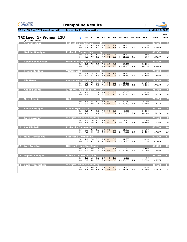**Vol** 5.3 6.0 5.0 5.3 9.4 9.5 4.3 10.700 4.3 39.350 *45.750 13*

| <b>GYMNASTICS</b><br><b>ONTARIO</b><br><b>SPORT STARTS HERE</b> | <b>Trampoline Results</b>                   |                                            |            |                    |                   |                                |            |                                                      |     |                |                  |                  |                          |
|-----------------------------------------------------------------|---------------------------------------------|--------------------------------------------|------------|--------------------|-------------------|--------------------------------|------------|------------------------------------------------------|-----|----------------|------------------|------------------|--------------------------|
| TG 1st ON Cup 2022 (weekend #2)                                 | hosted by AIM Gymnastics                    |                                            |            |                    |                   |                                |            |                                                      |     |                |                  | April 8-10, 2022 |                          |
| TRI Level 2 - Women 13U<br>Qualifying Score is 77.7             | P <sub>2</sub>                              | E1                                         | E2         | E <sub>3</sub>     | E4                | H1                             |            | H <sub>2</sub> Diff ToF                              |     | <b>Bon Pen</b> | Sub              | <b>Total</b>     | Page 1<br>Posn           |
| Arianna Sluga<br>D.                                             | <b>Etobicoke Gymnastics</b>                 |                                            |            |                    | $\bf{O}$          |                                |            |                                                      |     |                |                  | 83.600           |                          |
|                                                                 | <b>Set</b><br>Vol                           | 8.5<br>8.2                                 | 8.5<br>8.1 | 8.1<br>8.4         | 8.3<br>8.1        | 9.2<br>9.6                     | 9.4<br>9.7 | 11.650<br>4.2 11.500                                 | 4.2 |                | 37.750<br>45.850 | 83.600           | $\mathbf{1}$             |
| <b>Maddie Nikodym</b><br>$\overline{\mathbf{2}}$                | <b>Etobicoke Gymnastics</b>                 |                                            |            |                    | $\mathbf{O}$      |                                |            |                                                      |     |                |                  | 82.300           | $\overline{\mathbf{2}}$  |
|                                                                 | <b>Set</b><br>Vol                           | 8.2<br>7.6                                 | 8.1<br>7.7 | 8.2<br>8.2         | 8.2<br>7.7        | 9.4<br>9.5                     | 9.4<br>9.5 | 11.800<br>4.1 11.600                                 | 4.1 |                | 37.600<br>44.700 | 82.300           | $\overline{2}$           |
| <b>Ryleigh Schweitzer</b><br>$\overline{\mathbf{3}}$            | <b>Grand River Gymmies</b>                  |                                            |            |                    | $\bigcirc$        |                                |            |                                                      |     |                |                  | 80.800           | $\overline{\mathbf{3}}$  |
|                                                                 | <b>Set</b><br>Vol                           | 7.4<br>6.8                                 | 7.5<br>7.3 | 7.5<br>7.3         | 7.3<br>7.0        | 8.9<br>9.4                     | 8.9<br>9.3 | 12.450<br>4.3 12.300                                 | 4.3 |                | 36.250<br>44.550 | 80.800           | 3                        |
| <b>Kristen Bunting</b><br>$\overline{\mathbf{4}}$               | <b>Vertical Zone</b>                        |                                            |            |                    | $\mathbf{O}$      |                                |            |                                                      |     |                |                  | 79.500           | $\overline{\mathbf{4}}$  |
|                                                                 | <b>Set</b><br>Vol                           | 7.2<br>6.9                                 | 7.8<br>7.2 | 6.5<br>6.3         | 7.2<br>6.9        | 9.8<br>9.8                     | 9.8<br>9.8 | 11.750<br>4.3 11.350                                 | 4.3 |                | 35.950<br>43.550 | 79.500           | $\boldsymbol{4}$         |
| <b>Ella Heeler</b>                                              | Kingston Aeros Trampoline Club Q            |                                            |            |                    |                   |                                |            |                                                      |     |                |                  | 79.300           | 5                        |
|                                                                 | <b>Set</b><br>Vol                           | 7.9<br>7.4                                 | 7.9<br>7.1 | 7.7<br>$7.2$ $7.1$ | 7.7               | 9.5<br>9.0                     | 9.5<br>9.0 | 11.200<br>4.5 10.700                                 | 4.5 |                | 36.300<br>43.000 | 79.300           | 5                        |
| <b>Adaline Smith</b><br>$6 \overline{6}$                        | <b>Airborne Trampoline KW</b>               |                                            |            |                    | $\bullet$         |                                |            |                                                      |     |                |                  | 78.750           | $6\overline{6}$          |
|                                                                 | <b>Set</b><br>Vol                           | 7.9<br>7.1                                 | 7.7<br>7.1 | 7.7<br>7.1         | 7.6<br>6.7        | 9.7<br>9.5                     | 9.8<br>9.6 | 10.700<br>4.2 10.750                                 | 4.2 |                | 35.850<br>42.900 | 78.750           | 6                        |
| <b>Maya Ritchie</b>                                             | <b>OAA</b>                                  |                                            |            |                    | $\mathbf O$       |                                |            |                                                      |     |                |                  | 78.250           | $\overline{\mathbf{z}}$  |
|                                                                 | Set.                                        | 8.2                                        |            |                    | 7.8 8.0 8.0 9.3   |                                | 9.3        | 10.950<br>Vol 6.9 7.0 7.1 6.8 9.0 9.0 4.2 10.700 4.2 |     |                | 36.250<br>42,000 | 78.250           | $\overline{7}$           |
| <b>Aimee Latulippe</b><br>$\boldsymbol{8}$                      | <b>Rideau Gymnastics</b>                    |                                            |            |                    |                   |                                |            |                                                      |     |                |                  | 74.150           | $\overline{\mathbf{8}}$  |
|                                                                 | <b>Set</b><br>Vol                           | $7.2$ $7.4$                                |            |                    | $7.2$ $7.3$ $9.7$ |                                | 9.6        | 9.900<br>7.1 7.1 6.7 6.7 9.5 9.4 3.5 9.850 3.5       |     |                | 34.050<br>40.100 | 74.150           | 8                        |
| <b>Taite Bowman</b><br>$\overline{9}$                           | <b>Burlington Trampoline &amp; Tumbling</b> |                                            |            |                    |                   |                                |            |                                                      |     |                |                  | 74.100           | $\overline{9}$           |
|                                                                 |                                             | Set 7.0 7.4 6.8 7.0 9.7 9.5<br>Vol 6.8 7.0 |            | 6.7                |                   | $6.4$ 9.2                      |            | 9.900<br>9.6 4.0 9.700 4.0                           |     |                | 33.500<br>40.600 | 74.100           | 9                        |
| 10 Ava Mitchell                                                 | <b>Etobicoke Gymnastics</b>                 |                                            |            |                    |                   |                                |            |                                                      |     |                |                  | 63.750           | 10                       |
|                                                                 |                                             | Set 8.5 8.3<br>Vol 4.6 4.6                 |            | 4.7                | 8.5 8.0 9.1       | $4.5$ 5.4                      | 9.0        | 11.350<br>$5.9$ 2.3 7.100                            | 2.3 |                | 37.200<br>26.550 | 63.750           | 10                       |
| 11 Malia Cancelliere                                            | <b>Etobicoke Gymnastics</b>                 |                                            |            |                    |                   |                                |            |                                                      |     |                |                  | 62.400           | $\overline{\mathbf{11}}$ |
|                                                                 |                                             | Set 7.9 7.6                                |            | 7.6                | $7.5$ 8.3         |                                | 8.2        | 11.600<br>Vol 5.0 5.2 5.2 4.7 4.8 5.1 2.3 7.600 2.3  |     |                | 35.050<br>27.350 | 62.400           | 11                       |
| 12 Lara Fainstat                                                | <b>Ottawa Gymnastics Centre</b>             |                                            |            |                    |                   |                                |            |                                                      |     |                |                  | 58.800           | $12$                     |
|                                                                 |                                             | Set 3.0 2.9<br>Vol 6.9 7.0                 |            | 3.1<br>7.4         |                   | $2.8$ $3.7$ $3.7$<br>$7.0$ 9.0 |            | 4.900<br>$9.5$ 4.3 12.450 4.3                        |     |                | 14.500<br>44.300 | 58.800           | 12                       |
| 13 Daphne Billinger                                             | <b>Pulsars Gymnastics Club</b>              |                                            |            |                    |                   |                                |            |                                                      |     |                |                  | 45.750           | 13                       |
|                                                                 |                                             | Set 1.1 1.3 1.2 1.0 1.9 1.9                |            |                    |                   |                                |            | 2.200                                                |     |                | 6.400            |                  |                          |

| 14 Skylar von Richter | <b>Burlington Trampoline &amp; Tumbling</b> |  |  |                             |                                            |        | 45.650 | 14 |
|-----------------------|---------------------------------------------|--|--|-----------------------------|--------------------------------------------|--------|--------|----|
|                       |                                             |  |  | Set 0.7 0.8 0.6 0.8 1.0 1.0 | 1.150                                      | 3.650  |        |    |
|                       |                                             |  |  |                             | Vol 6.5 6.9 6.6 6.7 9.4 9.1 4.2 11.050 4.2 | 42.000 | 45.650 | 14 |
|                       |                                             |  |  |                             |                                            |        |        |    |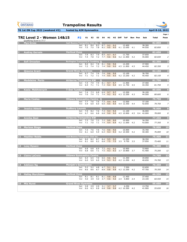**Vol** 6.0 5.9 6.0 5.9 9.3 9.3 4.2 11.050 4.2 40.650 *74.700 13*

| <b>GYMNASTICS</b><br><b>ONTARIO</b><br><b>SPORT STARTS HERE</b>  | <b>Trampoline Results</b> |                                               |                                    |                |                |                     |            |            |             |                                                      |     |                |                                                                 |                  |                         |
|------------------------------------------------------------------|---------------------------|-----------------------------------------------|------------------------------------|----------------|----------------|---------------------|------------|------------|-------------|------------------------------------------------------|-----|----------------|-----------------------------------------------------------------|------------------|-------------------------|
| <b>TG 1st ON Cup 2022 (weekend #2)</b>                           |                           | hosted by AIM Gymnastics                      |                                    |                |                |                     |            |            |             |                                                      |     |                |                                                                 | April 8-10, 2022 |                         |
| <b>TRI Level 2 - Women 14&amp;15</b><br>Qualifying Score is 77.7 |                           | <b>P2</b>                                     | E1                                 | E <sub>2</sub> | E <sub>3</sub> | E4                  | H1         | H2         | <b>Diff</b> | <b>ToF</b>                                           |     | <b>Bon Pen</b> | Sub                                                             | <b>Total</b>     | Page 1<br>Posn          |
| E.<br><b>Mya Grosz</b>                                           |                           | Just Bounce Trampoline Club Inc. O            |                                    |                |                |                     |            |            |             |                                                      |     |                |                                                                 | 82.850           | $\mathbf{1}$            |
|                                                                  |                           | <b>Set</b><br>Vol                             | 8.1<br>7.5                         | 8.4<br>7.5     | 8.3<br>7.8     | 8.7<br>8.2          | 9.2<br>9.0 | 9.2<br>9.0 |             | 12.400<br>4.1 12.050                                 | 4.1 |                | 38.300<br>44.550                                                | 82.850           | $\pmb{\mathit{1}}$      |
| <b>Audrey Gervais</b><br>2                                       |                           | <b>Vertical Zone</b>                          |                                    |                |                | $\mathbf O$         |            |            |             |                                                      |     |                |                                                                 | 82.650           | $\overline{\mathbf{2}}$ |
|                                                                  |                           | <b>Set</b><br>Vol                             | 7.9<br>7.4                         | 8.3<br>7.8     | 7.9<br>7.2     | 8.4<br>7.7          | 9.7<br>9.6 | 9.7<br>9.6 |             | 11.750<br>4.2 11.900                                 | 4.2 |                | 37.650<br>45.000                                                | 82.650           | $\overline{a}$          |
| Sofi Oroszlan<br>3                                               |                           | <b>Burlington Trampoline &amp; Tumbling O</b> |                                    |                |                |                     |            |            |             |                                                      |     |                |                                                                 | 82.350           | $\overline{\mathbf{3}}$ |
|                                                                  |                           | <b>Set</b><br>Vol                             | 8.0<br>7.2                         | 8.4<br>7.4     | 7.8<br>7.2     | 8.1<br>7.4          | 9.6<br>9.0 | 9.6<br>9.0 |             | 12.200<br>4.5 11.850                                 | 4.5 |                | 37.900<br>44.450                                                | 82.350           | 3                       |
| <b>Oiawna Grant</b><br>$\overline{4}$                            |                           | <b>Grand River Gymmies</b>                    |                                    |                |                | O                   |            |            |             |                                                      |     |                |                                                                 | 82.150           | 4                       |
|                                                                  |                           | <b>Set</b><br>Vol                             | 6.7<br>7.1                         | 7.4<br>7.2     | 7.6<br>7.1     | 7.6<br>7.4          | 9.6<br>9.5 | 9.6<br>9.5 |             | 12.100<br>4.2 13.250                                 | 4.2 |                | 36.700<br>45.450                                                | 82.150           | 4                       |
| <b>Madeleine Porto</b><br>5                                      |                           | <b>Airborne Trampoline KW</b>                 |                                    |                |                | $\overline{O}$      |            |            |             |                                                      |     |                |                                                                 | 81.750           | 5                       |
|                                                                  |                           | <b>Set</b><br>Vol                             | 7.4<br>6.9                         | 7.9<br>7.1     | 7.9<br>7.1     | 8.1<br>7.3          | 9.7<br>9.4 | 9.7<br>9.4 |             | 11.900<br>4.5 11.750                                 | 4.5 |                | 37.400<br>44.350                                                | 81.750           | 5                       |
| Kasia Makhnevych<br>6                                            |                           | <b>T-Dot Tumblers</b>                         |                                    |                |                | O                   |            |            |             |                                                      |     |                |                                                                 | 80.600           | 6                       |
|                                                                  |                           | <b>Set</b><br>Vol                             | 7.4<br>7.0                         | 7.3<br>7.4     | 6.8<br>7.1     | 6.9<br>7.4          | 9.7<br>9.2 | 9.7<br>9.2 |             | 12.200<br>4.3 12.200                                 | 4.3 |                | 36.100<br>44.500                                                | 80.600           | 6                       |
| <b>Maria Coates</b><br>7                                         |                           | <b>Ottawa Gymnastics Centre Q</b>             |                                    |                |                |                     |            |            |             |                                                      |     |                |                                                                 | 79.750           | 7                       |
|                                                                  |                           |                                               | Set 7.7 7.6 7.6 7.3 9.4<br>Vol 5.9 |                |                |                     |            | 9.4        |             | 12.500<br>6.0 6.0 6.0 $9.5$ $9.5$ 4.4 12.350 4.4     |     |                | 37.100<br>42.650                                                | 79.750           | 7                       |
| <b>Jessica Abbott</b><br>8                                       |                           | <b>Sudbury Laurels</b>                        |                                    |                |                | Q                   |            |            |             |                                                      |     |                |                                                                 | 78.000           | $\overline{\mathbf{8}}$ |
|                                                                  |                           |                                               | Set 7.9 8.2                        |                |                | 7.6 7.3 9.4 9.4     |            |            |             | 11.100                                               |     |                | 36.000<br>Vol 6.7 6.6 6.8 6.8 9.0 9.0 4.5 10.900 4.5 0.4 42.000 | 78.000           | 8                       |
| <b>Annika Best</b><br>$\vert$ 9                                  |                           | <b>Airborne Trampoline KW</b>                 |                                    |                |                |                     |            |            |             |                                                      |     |                |                                                                 | 77.350           | 9                       |
|                                                                  |                           |                                               | Set 7.3 7.0 7.2 7.2 9.0 9.0        |                |                |                     |            |            |             | 10.950<br>Vol 7.1 7.0 7.1 7.4 9.4 9.4 4.2 11.000 4.2 |     |                | 34.350<br>43.000                                                | 77.350           | 9                       |
| <b>Marissa Stege</b><br>10                                       |                           | <b>Vertical Zone</b>                          |                                    |                |                |                     |            |            |             |                                                      |     |                |                                                                 | 76.000           | 10                      |
|                                                                  |                           |                                               | Set 7.3 7.6 7.6 7.6 9.6 9.6        |                |                |                     |            |            |             | 10.900<br>Vol 6.1 6.0 5.9 6.4 9.3 9.3 4.2 10.500 4.2 |     |                | 35.700<br>40.300                                                | 76.000           | 10                      |
| 11 Heather Noble                                                 |                           | Just Bounce Trampoline Club Inc.              |                                    |                |                |                     |            |            |             |                                                      |     |                |                                                                 | 75.400           | 11                      |
|                                                                  |                           |                                               | Set 8.0 8.2 8.7 8.4 9.5 9.5        |                |                |                     |            |            |             | 12.250<br>Vol 6.1 6.6 6.2 6.8 7.5 7.5 3.5 9.750 3.5  |     |                | 38.350<br>37.050                                                | 75.400           | 11                      |
| 12 Lexy Dysarz                                                   |                           | <b>Vertical Zone</b>                          |                                    |                |                |                     |            |            |             |                                                      |     |                |                                                                 | 75.200           | 12                      |
|                                                                  |                           |                                               | Set 6.8<br>Vol 6.8                 |                |                | 6.8 6.9 7.2 9.2 9.2 |            |            |             | 10.900<br>6.6 7.1 7.5 9.3 9.3 3.7 10.800 3.7         |     |                | 33.800<br>41.400                                                | 75.200           | 12                      |
| 13 Claire LaCroix                                                |                           | <b>Ottawa Gymnastics Centre</b>               |                                    |                |                |                     |            |            |             |                                                      |     |                |                                                                 | 74.700           | 13                      |
|                                                                  |                           |                                               | Set 6.5 6.5 7.0 6.6 9.6 9.6        |                |                |                     |            |            |             | 11.350                                               |     |                | 34.050                                                          |                  |                         |

| 14        | <b>Addison Ng</b>   | Manjak's Gymnastics        |                           |            |                |            |            |                            |                  | 70.350 | 14 |
|-----------|---------------------|----------------------------|---------------------------|------------|----------------|------------|------------|----------------------------|------------------|--------|----|
|           |                     | Set<br>Vol                 | 5.2<br>5.2<br>8.6<br>8.6  | 4.8<br>8.7 | 4.7 5.1<br>8.8 | 9.8        | 5.1<br>9.8 | 7.550<br>4.2 12.200 4.2    | 22.650<br>47.700 | 70.350 | 14 |
|           | 15 Hailey Murchison | <b>Vertical Zone</b>       |                           |            |                |            |            |                            |                  | 60.550 | 15 |
|           |                     | <b>Set</b><br>Vol          | 8.1<br>-8.1<br>3.9<br>4.0 | 8.1<br>4.0 | 8.1<br>3.7     | 9.8<br>4.6 | 9.8<br>4.6 | 11.450<br>5.800 2.4<br>2.4 | 37.450<br>23.100 | 60.550 | 15 |
| <b>16</b> | <b>Mia Hurst</b>    | <b>Grand River Gymmies</b> |                           |            |                |            |            |                            |                  | 55.650 | 16 |
|           |                     | <b>Set</b><br>Vol          | 2.9<br>2.8<br>6.6<br>6.3  | 2.9<br>6.8 | 3.1<br>6.8     | 3.7<br>9.8 | 3.7<br>9.8 | 4.250<br>4.2 10.300 4.2    | 13.750<br>41.900 | 55.650 | 16 |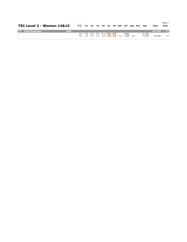|                | <b>TRI Level 2 - Women 14&amp;15</b> |            | P2 E1 E2 E3 E4 H1 H2 Diff ToF Bon Pen |  |  |                             |  |                                                    |  | <b>Sub</b>      | <b>Total</b> | Page 2<br>Posn  |
|----------------|--------------------------------------|------------|---------------------------------------|--|--|-----------------------------|--|----------------------------------------------------|--|-----------------|--------------|-----------------|
| $\blacksquare$ | Lilah Rosevear                       | <b>OAA</b> |                                       |  |  |                             |  |                                                    |  |                 | 40.350       | 17 <sup>1</sup> |
|                |                                      |            |                                       |  |  | Set 6.5 6.4 5.9 6.2 8.8 8.8 |  | 9.800<br>Vol 1.5 1.5 1.5 1.4 1.8 1.8 1.2 1.950 1.2 |  | 31.200<br>9.150 | 40.350       | 17              |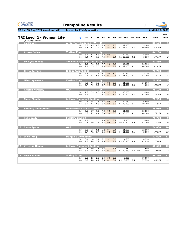**Set** 2.1 2.3 2.3 2.4 3.0 3.0 3.000 10.600

| <b>GYMNASTICS</b><br><b>ONTARIO</b><br><b>SPORT STARTS HERE</b> | <b>Trampoline Results</b>                      |                                    |                                      |            |                  |            |                                  |                     |                                              |     |                |                      |                  |                         |
|-----------------------------------------------------------------|------------------------------------------------|------------------------------------|--------------------------------------|------------|------------------|------------|----------------------------------|---------------------|----------------------------------------------|-----|----------------|----------------------|------------------|-------------------------|
| <b>TG 1st ON Cup 2022 (weekend #2)</b>                          | hosted by AIM Gymnastics                       |                                    |                                      |            |                  |            |                                  |                     |                                              |     |                |                      | April 8-10, 2022 |                         |
| TRI Level 2 - Women 16+<br>Qualifying Score is 77.7             | <b>P2</b>                                      | E1                                 | E <sub>2</sub>                       | E3         | E4               | H1         |                                  | H <sub>2</sub> Diff | ToF                                          |     | <b>Bon Pen</b> | Sub                  | <b>Total</b>     | Page 1<br>Posn          |
| <b>Sarah Lott</b><br>И,                                         | <b>Airborne Trampoline KW</b>                  | 8.6<br><b>Set</b>                  | 8.5                                  | 8.8        | $\bullet$<br>8.9 | 9.5        | 9.5                              |                     | 12.200                                       |     |                | 39.100               | 85.100           | $\mathbf{1}$            |
|                                                                 |                                                | 7.9<br>Vol                         | 8.2                                  | 7.4        | 8.1              | 9.5        | 9.5                              |                     | 4.2 12.100                                   | 4.2 |                | 46.000               | 85.100           | $\it 1$                 |
| <b>Alyssa Dalley</b><br>$\overline{\mathbf{2}}$                 | <b>Vertical Zone</b>                           |                                    |                                      |            | $\mathbf O$      |            |                                  |                     |                                              |     |                |                      | 84.100           | $\overline{\mathbf{2}}$ |
|                                                                 |                                                | 8.2<br><b>Set</b><br>7.4<br>Vol    | 8.2<br>7.4                           | 8.3<br>7.8 | 8.2<br>7.4       | 9.9<br>9.4 | 9.9<br>9.4                       |                     | 12.650<br>4.2 12.550                         | 4.2 |                | 38.950<br>45.150     | 84.100           | $\overline{a}$          |
| <b>Evi Kyrlangitses</b><br>3                                    | Just Bounce Trampoline Club Inc. O             |                                    |                                      |            |                  |            |                                  |                     |                                              |     |                |                      | 81.450           | $\overline{\mathbf{3}}$ |
|                                                                 |                                                | 7.3<br><b>Set</b><br>7.2<br>Vol    | 7.6<br>7.5                           | 7.6<br>7.5 | 7.7<br>7.9       | 9.6<br>9.2 | 9.6<br>9.2                       |                     | 12.150<br>4.1 12.100                         | 4.1 |                | 36.950<br>44.500     | 81.450           | 3                       |
| <b>Olivia Bernard</b><br> 4                                     | <b>Rideau Gymnastics</b>                       |                                    |                                      |            | $\mathbf O$      |            |                                  |                     |                                              |     |                |                      | 78.750           | 4                       |
|                                                                 |                                                | 7.4<br><b>Set</b><br>7.4<br>Vol    | 7.7<br>7.3                           | 7.7<br>6.6 | 7.1<br>7.2       | 9.6<br>9.3 | 9.6<br>9.3                       |                     | 10.850<br>4.1 11.200                         | 4.1 |                | 35.550<br>43.200     | 78.750           | $\overline{4}$          |
| 5<br><b>Mika Jayaweera</b>                                      | <b>Vertical Zone</b>                           |                                    |                                      |            | O                |            |                                  |                     |                                              |     |                |                      | 78.550           | 5                       |
|                                                                 |                                                | 7.8<br><b>Set</b><br>6.7<br>Vol    | 7.6<br>7.0                           | 7.9<br>7.6 | 7.5<br>$6.7$ 9.3 | 9.9        | 9.9<br>9.3                       |                     | 11.600<br>3.6 11.450                         | 3.6 |                | 36.900<br>41.650     | 78.550           | 5                       |
| <b>Kyleigh Kennedy</b><br>6                                     | <b>OAA</b>                                     |                                    |                                      |            | $\mathbf O$      |            |                                  |                     |                                              |     |                |                      | 78.100           | $\overline{6}$          |
|                                                                 |                                                | 7.6<br><b>Set</b><br>7.1<br>Vol    | 7.9<br>7.1                           | 8.0<br>7.0 | 7.3<br>7.2       | 9.7<br>9.3 | 9.7<br>9.3                       |                     | 10.700<br>4.2 10.300                         | 4.2 |                | 35.900<br>42.200     | 78.100           | 6                       |
| <b>Eloise Mouille</b><br>7                                      | <b>Burlington Trampoline &amp; Tumbling</b>    |                                    |                                      |            |                  |            |                                  |                     |                                              |     |                |                      | 76.950           | 7                       |
|                                                                 |                                                | Set 7.7 7.5 7.8 7.5 9.5 9.5<br>Vol |                                      |            |                  |            |                                  |                     | 12.150<br>6.9 7.3 6.8 6.7 8.6 8.6 3.5 10.800 | 3.5 |                | 36.850<br>40.100     | 76.950           | 7                       |
| 8 <br><b>Serenity Vollmerhaus</b>                               | <b>Twisters Gymnastics and Trampoline Club</b> |                                    |                                      |            |                  |            |                                  |                     |                                              |     |                |                      | 75.950           | $\overline{\mathbf{8}}$ |
|                                                                 |                                                | <b>Set</b><br>7.1<br>Vol           | 6.7<br>6.6 6.7 6.4 6.4 9.0 9.0       | 7.2        |                  |            | 7.3 9.5 9.5                      |                     | 11.250<br>4.1 10.700                         | 4.1 |                | 35.050<br>40.900     | 75.950           | 8                       |
| <b>Kylie Baxter</b><br>$\overline{9}$                           | <b>Sudbury Laurels</b>                         |                                    |                                      |            |                  |            |                                  |                     |                                              |     |                |                      | 75.700           | 9                       |
|                                                                 |                                                | <b>Set</b> 7.3<br>7.6<br>Vol       | 7.2<br>8.0                           | 7.5<br>7.3 | 7.0<br>7.5       | 9.6        | 8.7 8.7<br>9.6                   |                     | 9.800<br>3.9 10.200                          | 3.9 |                | 33.000<br>42.700     | 75.700           | 9                       |
| <b>Claire Spicer</b><br>10                                      | <b>OAA</b>                                     |                                    |                                      |            |                  |            |                                  |                     |                                              |     |                |                      | 74.800           | 10                      |
|                                                                 |                                                | 6.2<br><b>Set</b><br>Vol 6.7 7.2   | 6.1                                  | 6.1<br>6.4 |                  |            | 6.2 9.4 9.4<br>$6.6$ $9.5$ $9.5$ |                     | 11.100<br>4.1 11.000                         | 4.1 |                | 32.800<br>42.000     | 74.800           | 10                      |
| <b>Dilyn King</b><br>11                                         | <b>Manjak's Gymnastics</b>                     |                                    |                                      |            |                  |            |                                  |                     |                                              |     |                |                      | 57.600           | $\overline{11}$         |
|                                                                 |                                                | <b>Set</b><br>Vol                  | $3.1$ 2.8<br>7.0 6.8 7.2 7.6 9.1 9.1 | 3.1        | 3.1              | 3.9        | 3.9                              |                     | 4.650<br>4.3 10.950                          | 4.3 |                | 14.750<br>42.850     | 57.600           | 11                      |
| <b>Vivienne Hanna</b><br><b>12</b>                              | <b>Burlington Trampoline &amp; Tumbling</b>    |                                    |                                      |            |                  |            |                                  |                     |                                              |     |                |                      | 50.600           | 12                      |
|                                                                 |                                                | Set 2.6 2.9 2.8<br>6.2<br>Vol      | 6.8                                  | 6.5        | 2.5<br>6.3       | 9.2        | $3.7$ $3.7$<br>9.2               |                     | 4.450<br>2.3 10.850                          | 2.3 |                | 13.550<br>0.4 37.050 | 50.600           | 12                      |
| <b>Tessa Sawler</b><br><b>13</b>                                | <b>Spring Action</b>                           |                                    |                                      |            |                  |            |                                  |                     |                                              |     |                |                      | 48.350           | 13                      |

**Vol** 6.6 6.8 6.7 6.6 8.1 8.1 3.5 9.350 3.5 37.750 *48.350 13*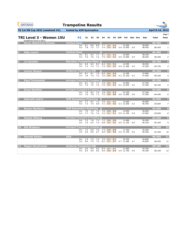| <b>GYMNASTICS</b><br><b>ONTARIO</b><br><b>SPORT STARTS HERE</b> | <b>Trampoline Results</b>                     |                             |            |            |                         |             |            |                    |         |                                                      |     |                |                  |                         |                         |
|-----------------------------------------------------------------|-----------------------------------------------|-----------------------------|------------|------------|-------------------------|-------------|------------|--------------------|---------|------------------------------------------------------|-----|----------------|------------------|-------------------------|-------------------------|
| TG 1st ON Cup 2022 (weekend #2)                                 | hosted by AIM Gymnastics                      |                             |            |            |                         |             |            |                    |         |                                                      |     |                |                  | <b>April 8-10, 2022</b> |                         |
| TRI Level 3 - Women 15U<br>Qualifying Score is 80.5             |                                               | <b>P2</b>                   | E1         | E2         | E3                      | Ε4          | H1         |                    | H2 Diff | ToF                                                  |     | <b>Bon Pen</b> | Sub              | <b>Total</b>            | Page 1<br>Posn          |
| <b>Maryn Waterman-Holmes</b><br>H.                              | <b>Vertical Zone</b>                          | <b>Set</b>                  | 8.1        | 8.0        | $\mathbf 0$<br>8.0      | 7.7         | 9.5        | 9.5                |         | 12.500                                               |     |                | 38.000           | 86.450                  | $\mathbf{1}$            |
|                                                                 |                                               | Vol                         | 7.8        | 7.5        | $7.7$ $7.4$             |             | 9.4        | 9.4                |         | 5.9 12.050                                           | 5.9 |                | 48.450           | 86.450                  | $\mathbf{1}$            |
| <b>Abby Laurin</b><br>$\overline{\mathbf{2}}$                   | <b>Vertical Zone</b>                          |                             |            |            | $\overline{\mathbf{o}}$ |             |            |                    |         |                                                      |     |                |                  | 86.300                  | $\overline{\mathbf{2}}$ |
|                                                                 |                                               | <b>Set</b><br>Vol           | 8.1<br>7.6 | 8.3<br>7.6 | 7.7<br>7.2              | 8.1<br>7.5  | 9.3<br>9.3 | 9.3<br>9.3         |         | 12.600<br>5.9 12.000                                 | 5.9 |                | 38.100<br>48.200 | 86.300                  | $\overline{2}$          |
| Lia Sardelis<br>$\overline{3}$                                  | <b>Skyriders Trampoline Place Q</b>           |                             |            |            |                         |             |            |                    |         |                                                      |     |                |                  | 85.750                  | $\overline{\mathbf{3}}$ |
|                                                                 |                                               | <b>Set</b><br>Vol           | 8.4<br>7.3 | 8.4<br>7.4 | 8.3<br>7.1              | 8.3<br>7.3  | 9.3<br>9.5 | 9.3<br>9.5         |         | 12.550<br>5.9 11.300                                 | 5.9 |                | 38.550<br>47.200 | 85.750                  | $\mathfrak{Z}$          |
| <b>Lauren Muscat</b><br>$\overline{4}$                          | <b>Airborne Trampoline KW</b>                 |                             |            |            | $\mathbf 0$             |             |            |                    |         |                                                      |     |                |                  | 85.250                  | 4                       |
|                                                                 |                                               | <b>Set</b><br>Vol           | 8.1<br>7.6 | 8.1<br>7.5 | 7.9<br>7.2              | 8.0<br>7.6  | 9.4<br>9.6 | 9.4<br>9.6         |         | 12.300<br>5.3 12.150                                 | 5.3 |                | 37.800<br>47.450 | 85.250                  | 4                       |
| <b>Haya Tartoussieh</b>                                         | <b>Burlington Trampoline &amp; Tumbling O</b> |                             |            |            |                         |             |            |                    |         |                                                      |     |                |                  | 85.100                  | $\overline{\mathbf{5}}$ |
|                                                                 |                                               | <b>Set</b><br>Vol           | 8.1<br>7.5 | 7.6<br>7.4 | 7.7<br>7.4              | 7.8<br>7.5  | 9.4        | 9.4<br>$9.2$ $9.2$ |         | 12.850<br>5.4 12.450                                 | 5.4 |                | 37.750<br>47.350 | 85.100                  | 5                       |
| <b>Grace Gauthier</b><br>6                                      | <b>Burlington Trampoline &amp; Tumbling O</b> |                             |            |            |                         |             |            |                    |         |                                                      |     |                |                  | 84.400                  | $6\phantom{1}6$         |
|                                                                 |                                               | <b>Set</b><br>Vol           | 7.9<br>7.6 | 8.2<br>7.8 | 7.4<br>7.1              | 7.8<br>7.5  | 9.3<br>8.8 | 9.3<br>8.8         |         | 12.100<br>5.8 11.800                                 | 5.8 |                | 37.100<br>47.300 | 84.400                  | 6                       |
| <b>Gabrielle Cadrin</b><br>7                                    | <b>AIM Gymnastics Pickering</b>               |                             |            |            | $\mathbf Q$             |             |            |                    |         |                                                      |     |                |                  | 83.600                  | $\overline{\mathbf{z}}$ |
|                                                                 |                                               | Set 7.7 8.1 7.3 7.5 9.1     |            |            |                         |             |            | 9.1                |         | 12.600<br>Vol 7.3 7.5 6.8 7.1 9.5 9.5 5.3 12.200 5.3 |     |                | 36.900<br>46.700 | 83.600                  | $\overline{z}$          |
| 8<br><b>Rowyn MacNevin</b>                                      | <b>AIM Gymnastics Pickering Q</b>             |                             |            |            |                         |             |            |                    |         |                                                      |     |                |                  | 83.600                  | 8                       |
|                                                                 |                                               | Set 7.6 7.9 7.6 7.6 8.8 8.8 |            |            |                         |             |            |                    |         | 12.000<br>Vol 7.7 7.6 7.4 7.2 9.1 9.1 5.9 11.700 5.9 |     |                | 36.000<br>47.600 | 83.600                  | 8                       |
| <b>Natalie Wiberg</b><br>$\overline{9}$                         | <b>Burlington Trampoline &amp; Tumbling Q</b> | Set 7.5 7.6 7.3 7.2 9.6 9.6 |            |            |                         |             |            |                    |         | 11.800                                               |     |                | 36.200           | 82.350                  | $\overline{9}$          |
|                                                                 |                                               |                             |            |            |                         |             |            |                    |         | Vol 7.0 6.5 7.4 6.8 9.2 9.2 6.0 11.150 6.0           |     |                | 46.150           | 82.350                  | 9                       |
| <b>Ella Brideaux</b><br><b>10</b>                               | <b>Burlington Trampoline &amp; Tumbling O</b> | Set 7.4 8.0 7.0 7.3 8.8 8.8 |            |            |                         |             |            |                    |         |                                                      |     |                |                  | 81.550                  | 10                      |
|                                                                 |                                               |                             |            |            |                         |             |            |                    |         | 11.750<br>Vol 6.9 6.9 6.7 6.9 9.0 9.0 5.9 11.700 5.9 |     |                | 35.250<br>46.300 | 81.550                  | 10                      |
| 11 Hannah Sweny                                                 | <b>OAA</b>                                    |                             |            |            |                         |             |            |                    |         |                                                      |     |                |                  | 80.450                  | $\overline{11}$         |
|                                                                 |                                               | <b>Set</b> 7.5              |            | 7.5        |                         | 7.3 7.6 9.1 |            | 9.1                |         | 10.750<br>Vol 8.0 7.5 7.3 8.1 9.7 9.7 4.7 11.000 4.7 |     |                | 34.850<br>45.600 | 80.450                  | 11                      |
| 12 Megan DeLaFranier                                            | <b>Airborne Trampoline KW</b>                 |                             |            |            |                         |             |            |                    |         |                                                      |     |                |                  | 80.100                  | $\frac{12}{2}$          |
|                                                                 |                                               | Set 6.6 6.9<br>Vol 6.4      |            | 6.0        | 6.6                     | $6.4$ 9.7   |            | 9.7                |         | 11.850<br>6.6 6.5 8.9 8.9 5.9 11.750 5.9             |     |                | 34.750<br>45.350 | 80.100                  | 12                      |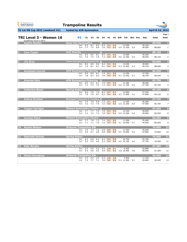**Set** 2.3 2.4 2.4 2.3 2.8 2.8 3.650 11.150

| <b>GYMNASTICS</b><br><b>ONTARIO</b><br><b>SPORT STARTS HERE</b> | <b>Trampoline Results</b>                           |                                    |                |            |                         |                    |            |             |                                                  |     |                |                  |                         |                         |
|-----------------------------------------------------------------|-----------------------------------------------------|------------------------------------|----------------|------------|-------------------------|--------------------|------------|-------------|--------------------------------------------------|-----|----------------|------------------|-------------------------|-------------------------|
| <b>TG 1st ON Cup 2022 (weekend #2)</b>                          | hosted by AIM Gymnastics                            |                                    |                |            |                         |                    |            |             |                                                  |     |                |                  | <b>April 8-10, 2022</b> |                         |
| TRI Level 3 - Women 16<br>Qualifying Score is 80.5              | P <sub>2</sub>                                      | E1                                 | E <sub>2</sub> | E3         | E4                      | H1                 | H2         | <b>Diff</b> | <b>ToF</b>                                       |     | <b>Bon Pen</b> | Sub              | <b>Total</b>            | Page 1<br>Posn          |
| <b>Sophia Mueller</b><br>E.                                     | <b>Rose City Gymnastics</b>                         |                                    |                |            | O                       |                    |            |             |                                                  |     |                |                  | 88.600                  | $\mathbf{1}$            |
|                                                                 | <b>Set</b><br>Vol                                   | 8.3<br>7.7                         | 8.1<br>7.5     | 8.2<br>8.0 | 8.3<br>7.6              | 9.3<br>9.3         | 9.4<br>9.3 |             | 13.250<br>5.9 13.100                             | 5.9 |                | 39.100<br>49.500 | 88.600                  | $\pmb{\mathit{1}}$      |
| $\overline{\mathbf{2}}$<br><b>Cora Turpin</b>                   | <b>Anti-Gravity</b>                                 |                                    |                |            | O                       |                    |            |             |                                                  |     |                |                  | 88.150                  | $\overline{\mathbf{2}}$ |
|                                                                 | <b>Set</b><br>Vol                                   | 8.5<br>7.6                         | 8.5<br>7.5     | 8.1<br>7.6 | 8.2<br>7.3              | 9.5<br>9.6         | 9.5<br>9.5 |             | 13.000<br>5.9 12.500                             | 5.9 |                | 39.200<br>48.950 | 88.150                  | $\overline{a}$          |
| <b>Lily Grey</b><br>3                                           | Twisters Gymnastics and Trampoline Club $\mathbf 0$ |                                    |                |            |                         |                    |            |             |                                                  |     |                |                  | 88.000                  | 3                       |
|                                                                 | <b>Set</b><br>Vol                                   | 8.2<br>7.5                         | 8.0<br>8.1     | 8.6<br>8.1 | 8.4<br>8.1              | 9.2<br>9.4         | 9.2<br>9.4 |             | 13.050<br>5.3 12.950                             | 5.3 |                | 38.850<br>49.150 | 88.000                  | 3                       |
| <b>Anastasia Conrad</b>                                         | <b>AIM Gymnastics Pickering</b>                     |                                    |                |            | $\mathbf 0$             |                    |            |             |                                                  |     |                |                  | 86.450                  | $\overline{\mathbf{4}}$ |
|                                                                 | <b>Set</b><br>Vol                                   | 8.0<br>7.8                         | 8.0<br>8.3     | 8.1<br>8.3 | 7.9<br>7.8              | 9.1<br>9.5         | 9.2<br>9.5 |             | 12.550<br>5.3 12.550                             | 5.3 |                | 37.700<br>48.750 | 86.450                  | 4                       |
| <b>Amanda Daly</b><br>5                                         | <b>AIM Gymnastics Pickering</b>                     |                                    |                |            | $\overline{\mathbf{o}}$ |                    |            |             |                                                  |     |                |                  | 85.700                  | 5                       |
|                                                                 | <b>Set</b><br>Vol                                   | 8.5<br>7.2                         | 8.3<br>7.5     | 8.1<br>7.5 | 7.9<br>7.3              | 9.4<br>9.1         | 9.4<br>9.3 |             | 12.200<br>6.0 11.700                             | 6.0 |                | 38.000<br>47.700 | 85.700                  | 5                       |
| $6\phantom{1}$<br><b>Catherine Boyer</b>                        | <b>Spring Action</b>                                |                                    |                |            | $\mathbf O$             |                    |            |             |                                                  |     |                |                  | 85.150                  | 6                       |
|                                                                 | <b>Set</b><br>Vol                                   | 8.0<br>7.8                         | 7.8<br>7.6     | 7.5<br>8.1 | 8.2<br>8.2              | 9.7<br>9.4         | 9.7<br>9.4 |             | 12.050<br>5.2 11.900                             | 5.2 |                | 37.550<br>47.600 | 85.150                  | 6                       |
| <b>Aubree Brooker</b>                                           | <b>Burlington Trampoline &amp; Tumbling Q</b>       |                                    |                |            |                         |                    |            |             |                                                  |     |                |                  | 83.700                  | 7                       |
|                                                                 |                                                     | Set 7.5 7.5 6.8 7.3                |                |            |                         | 9.1                | 9.0        |             | 12.350<br>Vol 7.2 7.3 7.0 7.2 9.0 9.2 5.9 12.200 | 5.9 |                | 36.200<br>47.500 | 83.700                  | 7                       |
| <b>Teagan Harrigan</b><br>$\bf{8}$                              | <b>Ottawa Gymnastics Centre O</b>                   |                                    |                |            |                         |                    |            |             |                                                  |     |                |                  | 82.650                  | 8                       |
|                                                                 | Vol                                                 | Set 7.7 7.7 7.4 7.9 9.3 9.4<br>7.2 | 7.4            | 7.3        | 7.8                     | 9.1                | 9.1        |             | 12.100<br>5.0 12.000                             | 5.0 |                | 36.850<br>45.800 | 82.650                  | 8                       |
| <b>Carmen Paice</b><br>$\boldsymbol{9}$                         | <b>Ottawa Gymnastics Centre</b>                     |                                    |                |            |                         |                    |            |             |                                                  |     |                |                  | 80.050                  | 9                       |
|                                                                 | Vol                                                 | Set 7.7 7.6                        | $7.1$ $7.1$    | 7.3<br>7.0 | 7.4<br>7.2              | 9.2<br>9.3         | 9.2<br>9.3 |             | 11.200<br>5.1 10.950                             | 5.1 |                | 35.400<br>44.650 | 80.050                  | 9                       |
| <b>Alysha Matson</b><br><b>10</b>                               | <b>Airborne Trampoline KW</b>                       |                                    |                |            |                         |                    |            |             |                                                  |     |                |                  | 79.800                  | $\overline{10}$         |
|                                                                 |                                                     | Set 7.5 7.3<br>Vol 6.5             | 6.1            | 7.2<br>6.8 | 6.8                     | 8.9<br>$6.8$ $8.8$ | 9.0<br>8.9 |             | 11.550<br>5.9 10.850                             | 5.9 |                | 35.000<br>44.800 | 79.800                  | 10                      |
| <b>Gabrielle Dulude</b><br>11                                   | <b>Spring Action</b>                                |                                    |                |            |                         |                    |            |             |                                                  |     |                |                  | 70.500                  | 11                      |
|                                                                 | Vol                                                 | Set 6.3<br>4.5                     | 6.0<br>4.5     | 6.4<br>4.6 | 6.2<br>5.3              | 9.5<br>9.3         | 9.5<br>9.4 |             | 10.750<br>4.6 10.100                             | 4.6 |                | 32.750<br>37.750 | 70.500                  | 11                      |
| <b>Kate Murphy</b><br>$\boxed{12}$                              | <b>Spring Action</b>                                |                                    |                |            |                         |                    |            |             |                                                  |     |                |                  | 61.400                  | 12                      |
|                                                                 | Vol                                                 | Set 4.3<br>5.4                     | 4.5<br>5.6     | 4.2<br>5.9 | 4.5<br>5.9              | 5.8<br>9.1         | 9.1<br>9.1 |             | 6.550<br>3.8 10.400                              | 3.8 |                | 22.800<br>38.600 | 61.400                  | 12                      |
| <b>Uliana Karyakina</b><br><b>13</b>                            | <b>Airborne Trampoline KW</b>                       |                                    |                |            |                         |                    |            |             |                                                  |     |                |                  | 56.950                  | 13                      |

**Vol** 7.3 7.7 7.1 7.6 9.0 9.0 5.2 11.500 5.2 45.800 *56.950 13*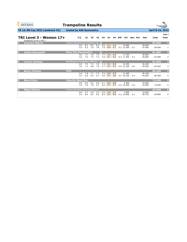**Set** 2.7 2.6 2.5 2.6 2.9 2.9 3.950 12.050

| <b>GYMNASTICS</b><br><b>ONTARIO</b><br><b>SPORT STARTS HERE</b> | <b>Trampoline Results</b>                             |            |            |            |            |            |            |                     |                      |     |         |                  |                         |                                  |
|-----------------------------------------------------------------|-------------------------------------------------------|------------|------------|------------|------------|------------|------------|---------------------|----------------------|-----|---------|------------------|-------------------------|----------------------------------|
| <b>TG 1st ON Cup 2022 (weekend #2)</b>                          | hosted by AIM Gymnastics                              |            |            |            |            |            |            |                     |                      |     |         |                  | <b>April 8-10, 2022</b> |                                  |
| TRI Level 3 - Women 17+<br>Qualifying Score is 80.5             | <b>P2</b>                                             | E1         | E2         | E3         | E4         | H1         |            | H <sub>2</sub> Diff | <b>ToF</b>           |     | Bon Pen | Sub              | <b>Total</b>            | Page 1<br>Posn                   |
| <b>Amanda Alberts</b><br>и.                                     | Twisters Gymnastics and Trampoline Club $\bigcirc$    |            |            |            |            |            |            |                     |                      |     |         |                  | 85.900                  | $\mathbf{1}$                     |
|                                                                 | <b>Set</b><br>Vol                                     | 8.2<br>8.2 | 8.2<br>7.9 | 8.3<br>7.8 | 9.0<br>7.9 | 9.2<br>8.9 | 9.4<br>9.1 |                     | 12.600<br>5.2 12.300 | 5.2 |         | 38.400<br>47.500 | 85.900                  | $1\vert$                         |
| <b>Jaidyn Beausoleil</b><br>$\overline{2}$                      | 81.800<br><b>Rose City Gymnastics</b><br>$\mathbf{O}$ |            |            |            |            |            |            |                     |                      |     |         |                  |                         |                                  |
|                                                                 | <b>Set</b><br>Vol                                     | 7.7<br>7.4 | 7.6<br>7.5 | 7.6<br>7.3 | 7.7<br>7.0 | 9.0<br>9.1 | 9.0<br>9.2 |                     | 11.700<br>5.3 11.350 | 5.3 |         | 36.000<br>45.800 | 81.800                  | $\overline{2}$<br>$\overline{a}$ |
| <b>Lauryn Conway</b><br>3                                       | <b>Just Bounce Trampoline Club Inc.</b>               |            |            |            | $\bullet$  |            |            |                     |                      |     |         |                  | 81.650                  | 3                                |
|                                                                 | <b>Set</b><br>Vol                                     | 7.5<br>7.3 | 7.2<br>6.8 | 7.6<br>7.0 | 7.3<br>7.7 | 9.1<br>9.2 | 9.0<br>9.1 |                     | 12.250<br>5.0 12.100 | 5.0 |         | 36.100<br>45.550 | 81.650                  | $\mathfrak{Z}$                   |
| <b>Becky Parham</b>                                             | <b>OAA</b>                                            |            |            |            |            |            |            |                     |                      |     |         |                  | 80.300                  | $\overline{\mathbf{4}}$          |
|                                                                 | <b>Set</b><br>Vol                                     | 7.8<br>6.9 | 7.7<br>6.5 | 7.3<br>6.7 | 7.6<br>6.4 | 9.8<br>9.7 | 9.2<br>9.6 |                     | 11,300<br>5.3 10.750 | 5.3 |         | 36.100<br>44.200 | 80.300                  | $\overline{4}$                   |
| <b>Wren Picco</b><br>5                                          | <b>Velocity Sport Inc.</b>                            |            |            |            |            |            |            |                     |                      |     |         |                  | 73.950                  | $\overline{5}$                   |
|                                                                 | <b>Set</b><br>Vol                                     | 6.9<br>7.0 | 6.3<br>7.0 | 6.6<br>6.7 | 6.1<br>6.2 | 8.9<br>9.7 | 8.8<br>9.7 |                     | 9.300<br>4.6 10.300  | 4.6 |         | 31.050<br>42.900 | 73.950                  | 5                                |

**Vol** 8.5 8.2 8.2 8.4 9.0 8.9 5.2 12.800 5.2 48.750 *60.800 6*

**6 Maija Alberts 60.800 6 Twisters Gymnastics and Trampoline Club**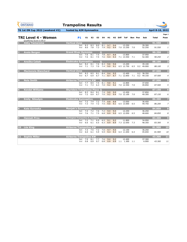| <b>GYMNASTICS</b><br><b>ONTARIO</b><br><b>SPORT STARTS HERE</b> | <b>Trampoline Results</b>                                                                                                                   |                  |                  |                         |
|-----------------------------------------------------------------|---------------------------------------------------------------------------------------------------------------------------------------------|------------------|------------------|-------------------------|
| TG 1st ON Cup 2022 (weekend #2)                                 | hosted by AIM Gymnastics                                                                                                                    |                  | April 8-10, 2022 |                         |
|                                                                 |                                                                                                                                             |                  |                  | Page 1                  |
| TRI Level 4 - Women                                             | <b>P1</b><br>E1<br>E <sub>2</sub><br>H1<br>H <sub>2</sub> Diff<br>E3<br>E4<br><b>ToF</b><br><b>Bon Pen</b>                                  | Sub              | <b>Total</b>     | Posn                    |
| Qualifying Score is 85.0<br><b>Abby Tiemersma</b>               | <b>Vertical Zone</b><br>$\mathbf O$                                                                                                         |                  | 91.550           | E.                      |
|                                                                 | 8.3<br>8.0<br>8.1<br>9.7<br>13.250<br>8.3<br>9.6<br><b>Set</b><br>8.0<br>7.8<br>7.3<br>7.9<br>9.2<br>7.0 13.250<br>9.4<br>7.0<br>Vol        | 39.300<br>52.250 | 91.550           | $\mathbf{1}$            |
| <b>Avaia Bergan</b>                                             | <b>Grand River Gymmies</b><br>$\mathbf{O}$                                                                                                  |                  | 90.250           | $\overline{\mathbf{2}}$ |
|                                                                 | 7.6<br>7.5<br>7.8<br>8.1<br>8.7<br>8.8<br>13.800<br><b>Set</b><br>7.5<br>7.6<br>8.1<br>7.6<br>9.4<br>9.3<br>7.1 13.550<br>7.1<br>Vol        | 37.950<br>52.300 | 90.250           | $\overline{2}$          |
| <b>Anežka Cabak</b><br>3                                        | <b>Etobicoke Gymnastics</b><br>$\bf{O}$                                                                                                     |                  | 88.100           | $\overline{\mathbf{3}}$ |
|                                                                 | 8.2<br>8.1<br>7.6<br>8.3<br>9.6<br>9.6<br>13.200<br><b>Set</b><br>7.0<br>7.4<br>9.0<br>9.1<br>6.5 12.750<br>6.5<br>7.1<br>7.3<br>0.2<br>Vol | 39.100<br>49.000 | 88.100           | 3                       |
| <b>Mackenzie Blanchard</b><br>$\boldsymbol{4}$                  | <b>Vertical Zone</b><br>$\mathbf O$<br>8.4                                                                                                  | 0.2 38.350       | 87.500           | $\overline{\mathbf{4}}$ |
|                                                                 | 8.3<br>8.5<br>8.1<br>9.4<br>9.5<br>12.400<br><b>Set</b><br>6.7<br>7.1<br>8.7<br>7.1 12.850<br>7.1<br>6.7<br>6.9<br>8.7<br>Vol               | 0.2 49.150       | 87.500           | 4                       |
| <b>Nola Smith</b><br>5                                          | <b>Airborne Trampoline KW</b><br>$\mathbf 0$<br>7.7<br>8.5<br>7.4<br>8.1<br>9.0<br>9.1<br>12.800<br><b>Set</b>                              | 37.650           | 87.500           | $\overline{\mathbf{5}}$ |
|                                                                 | 6.3<br>7.0<br>9.2<br>7.1<br>7.3<br>9.2<br>7.0 12.550<br>7.0<br>Vol                                                                          | 49.850           | 87.500           | 5                       |
| <b>Kendal Williams</b><br>6                                     | <b>Skyriders Trampoline Place Q</b><br>8.3<br>8.4<br>8.1<br>12.450                                                                          |                  | 87.150           | $6\phantom{a}$          |
|                                                                 | 7.9<br>9.0<br>9.0<br><b>Set</b><br>6.7<br>7.0<br>9.2<br>$7.2\quad 6.9$<br>9.4<br>7.0 12.100<br>7.0<br>Vol                                   | 37.850<br>49.300 | 87.150           | 6                       |
| <b>Emily Nikodym</b>                                            | <b>Etobicoke Gymnastics</b><br>$\mathbf O$<br>Set 7.2 7.4 7.2 7.4 8.8 8.8<br>13.050                                                         | 36.450           | 86.200           | $\overline{z}$          |
|                                                                 | Vol 7.3 7.4 7.2 7.5 9.0 9.1 6.5 13.000 6.5                                                                                                  | 49.750           | 86.200           | $\overline{z}$          |
| <b>Kate Gurowka</b><br>8                                        | <b>Manjak's Gymnastics</b><br>12.250<br>Set 7.4 7.2<br>7.6 7.2 9.4 9.4                                                                      | 36.250           | 84.850           | 8                       |
|                                                                 | Vol 7.6 7.1 7.5 6.8 8.9 9.0<br>6.5 12.050<br>6.5                                                                                            | 48.600           | 84.850           | 8                       |
| <b>Hannah Prno</b><br>9                                         | <b>Burlington Trampoline &amp; Tumbling</b><br>Set 7.2 7.1 6.9 6.5 9.1 9.2<br>11.800                                                        | 34.950           | 83.300           | $\overline{9}$          |
|                                                                 | Vol 6.6 6.1 6.5 6.3 8.9 8.9 7.3 12.050 7.3                                                                                                  | 48.350           | 83.300           | 9                       |
| Léa King<br>10                                                  | <b>Airborne Trampoline KW</b>                                                                                                               |                  | 81.900           | 10                      |
|                                                                 | 12.150<br>Set 7.3 7.5 7.2 7.0 9.7 9.5<br>Vol 6.0 6.1 5.9 5.9 9.3 9.3 6.4 11.650 6.4                                                         | 36.250<br>45.650 | 81.900           | 10                      |
| 11 Sophie Miller                                                | <b>Airborne Trampoline KW</b>                                                                                                               |                  | 43.300           | $\mathbf{11}$           |
|                                                                 | 7.7<br>$7.6$ 9.4<br>Set 7.9 8.1<br>9.2<br>12.400<br>$0.9\quad 0.7$<br>$0.8$ $0.9$ $0.9$ $1.1$ $1.300$ $1.1$<br>Vol 0.8                      | 37.300<br>6.000  | 43.300           | 11                      |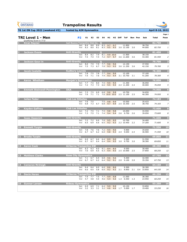| <b>GYMNASTICS</b><br><b>ONTARIO</b><br><b>SPORT STARTS HERE</b> | <b>Trampoline Results</b>                                                                                                                                                  |                  |                                                      |
|-----------------------------------------------------------------|----------------------------------------------------------------------------------------------------------------------------------------------------------------------------|------------------|------------------------------------------------------|
| TG 1st ON Cup 2022 (weekend #2)                                 | hosted by AIM Gymnastics                                                                                                                                                   |                  | April 8-10, 2022                                     |
| <b>TRI Level 1 - Men</b><br>Qualifying Score is 77.0            | P <sub>2</sub><br>E1<br>H2<br><b>Diff</b><br>E <sub>2</sub><br>E <sub>3</sub><br>E4<br>H1<br><b>ToF</b><br><b>Bon Pen</b>                                                  | Sub              | Page 1<br><b>Total</b><br>Posn                       |
| <b>Kiran Rayner</b><br>D.                                       | Just Bounce Trampoline Club Inc. O<br>8.9<br>8.3<br>9.7<br>9.7<br>8.4<br>8.8<br>11.850<br><b>Set</b><br>8.3<br>9.5<br>9.5<br>8.3<br>8.0<br>8.1<br>3.0 12.100<br>3.0<br>Vol | 38.750<br>44.000 | 82.750<br>$1$<br>82.750<br>$1\vert$                  |
| <b>Jackson Evans</b><br>2                                       | <b>Anti-Gravity</b><br>O<br>8.1<br>9.9 10.0<br>8.4<br>8.2<br>7.9<br>11,900<br><b>Set</b><br>7.2<br>9.7<br>7.5<br>7.4<br>7.4<br>9.7<br>3.6 11.600<br>3.6<br>Vol             | 38.150<br>43.300 | $\overline{2}$<br>81.450<br>2 <sup>1</sup><br>81.450 |
| Jackson Gauv in<br>3                                            | <b>Anti-Gravity</b><br>O<br>7.9<br>7.7<br>9.6<br>7.9<br>9.6<br>12.150<br><b>Set</b><br>8.0<br>7.3<br>7.0<br>7.5<br>6.7<br>9.3<br>9.5<br>3.6 11.250<br>Vol<br>3.6           | 37.550<br>42.150 | $\overline{\mathbf{3}}$<br>79.700<br>3<br>79.700     |
| <b>Jacob Costello</b><br>4                                      | <b>Sudbury Laurels</b><br>O<br>7.5<br>7.8<br>7.7<br>9.4<br>7.8<br>9.6<br>12.100<br><b>Set</b><br>7.1<br>7.5<br>7.6<br>7.4<br>9.3<br>9.4<br>3.1 10.750<br>3.1<br>Vol        | 37.100<br>41.200 | $\overline{\mathbf{4}}$<br>78.300<br>78.300<br>4     |
| <b>Aaron Whetham</b><br>5                                       | <b>Manjak's Gymnastics</b><br>$7.7$ 7.5<br>8.0<br>7.5<br>9.5<br>11.350<br>9.5<br><b>Set</b><br>7.3<br>7.3<br>6.6<br>9.5<br>9.5<br>2.4 11.200<br>7.2<br>2.4<br>Vol          | 36.050<br>40.000 | 5<br>76.050<br>5<br>76.050                           |
| <b>Emmett Steinwell-Pennington</b><br>6                         | <b>OAA</b><br>7.5<br>6.9<br>6.8<br>9.6<br>10.750<br><b>Set</b><br>7.3<br>9.8<br>7.6<br>7.1<br>7.1<br>7.0 10.0 10.0<br>2.5 11.100<br>2.5<br>Vol                             | 34.650<br>40.300 | $6\overline{6}$<br>74.950<br>74.950<br>6             |
| <b>Julien Fedor</b>                                             | <b>Club Les Sittelles</b><br>10.550<br>Set 7.6 7.5<br>7.5<br>9.8<br>9.9<br>Vol 6.8 7.3 6.7 6.8 9.7 9.9 2.5 10.350 2.5                                                      | 35.433<br>38.750 | $\overline{7}$<br>74.183<br>74.183<br>$\overline{Z}$ |
| 8 Kayden Gaffney                                                | <b>Club Les Sittelles</b><br>7.1 7.5 9.8 9.8<br>10.050<br>Set 7.2 7.5<br>7.1 7.4 9.4 9.4 2.6 9.750 2.6<br>Vol 7.3 7.5                                                      | 34.550<br>39.050 | 8<br>73.600<br>8 <sup>1</sup><br>73.600              |
| <b>Isaac Dasovich</b><br>9                                      | <b>Anti-Gravity</b><br>Set 7.2 7.2 6.6<br>7.0 9.5 9.5<br>10.700<br>6.5 6.9 6.6 6.5 9.2 9.3<br>2.2 10.450 2.2<br>Vol                                                        | 34.400<br>37.200 | $\overline{9}$<br>71.600<br>$\overline{9}$<br>71.600 |
| <b>Emmett Turpin</b><br>10                                      | <b>Anti-Gravity</b><br>7.6 7.2 9.5 9.6<br>Set 7.8 7.6<br>9.900<br>Vol 6.7 6.7<br>6.2 6.0 9.8 9.3 2.4 9.650 2.4                                                             | 34.650<br>36.900 | 10<br>71.550<br>10<br>71.550                         |
| 11 Brodie Turpin                                                | <b>Anti-Gravity</b><br>$6.4$ $8.9$ $9.0$<br><b>Set 6.9</b><br>6.7<br>6.6<br>9.300<br>6.7 6.7 6.4 6.4 9.4 9.5 3.0 9.750 3.0<br>Vol                                          | 31.550<br>38.300 | 11<br>69.850<br>11<br>69.850                         |
| 12 Aaron Cook                                                   | <b>Airborne Trampoline KW</b><br>6.3<br>6.0<br><b>Set</b> 6.3<br>6.1 8.4 8.5<br>9.550<br>6.5 6.3 9.4 9.5 2.5 10.000 2.5<br>6.9<br>Vol 7.0                                  | 30.400<br>37.850 | $\mathbf{12}$<br>68.250<br>68.250<br>12              |
| <b>Matthew Clarke</b><br>$ 13\rangle$                           | <b>Rose City Gymnastics</b><br>6.5 6.8 9.6 9.6<br>9.300<br>Set 7.1 6.7<br>6.7 6.2 6.4 $9.2$ $9.1$ 2.0 $9.100$ 2.0<br>Vol 6.7                                               | 32.400<br>35.350 | 13<br>67.750<br>67.750<br>13                         |

| $\begin{array}{c} 14 \end{array}$ | <b>Cameron McVeigh</b> | <b>Anti-Gravity</b>           |             |            |            |            |            |            |     |                |     |                      | 64.150 | 14        |
|-----------------------------------|------------------------|-------------------------------|-------------|------------|------------|------------|------------|------------|-----|----------------|-----|----------------------|--------|-----------|
|                                   |                        | <b>Set</b><br>Vol             | -6.4<br>6.0 | 6.4<br>6.5 | 6.0<br>5.8 | 6.0<br>6.0 | 8.6<br>9.2 | 8.6<br>9.2 | 2.1 | 9.300<br>8.850 | 2.1 | 30.300<br>0.4 33.850 | 64.150 | 14        |
|                                   |                        |                               |             |            |            |            |            |            |     |                |     |                      |        |           |
| <b>15</b>                         | <b>Devin Horan</b>     | <b>Airborne Trampoline KW</b> |             |            |            |            |            |            |     |                |     |                      | 60.250 | <b>15</b> |
|                                   |                        | <b>Set</b>                    | 7.9         | 7.7        | 7.5        | 7.7        | 9.9        | 9.8        |     | 11.050         |     | 36.300               |        |           |
|                                   |                        | Vol                           | 4.7         | 4.8        | 4.5        | 4.6        | 5.4        | 5.6        | 1.3 | 6.550 1.3      |     | 23.950               | 60.250 | 15        |
|                                   | <b>Gunnar Larsen</b>   | <b>Rideau Gymnastics</b>      |             |            |            |            |            |            |     |                |     |                      | 53.250 | <b>16</b> |
|                                   |                        | <b>Set</b>                    | 6.9         | 6.9        | 7.1        | 6.4        | 9.9        | 9.9        |     | 10.150         |     | 33.850               |        |           |
|                                   |                        | Vol                           | 3.2         | 3.3        | 3.1        | 3.2        | 4.6        | 4.6        | 1.7 | 5.000          | 1.7 | 19.400               | 53.250 | 16        |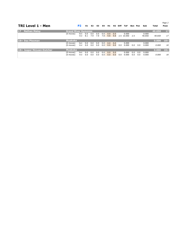*Page 2*

| <b>TRI Level 1 - Men</b>              |                            | P <sub>2</sub>    | E1         | E <sub>2</sub> | E3                   | E4         | H1         | H2         | <b>Diff</b> | <b>ToF</b>          | Bon        | Pen        | Sub             | Total  | Posn   |
|---------------------------------------|----------------------------|-------------------|------------|----------------|----------------------|------------|------------|------------|-------------|---------------------|------------|------------|-----------------|--------|--------|
| <b>Nathan Maloy</b><br>$\blacksquare$ | <b>Grand River Gymmies</b> |                   |            |                |                      |            |            |            |             |                     |            |            |                 | 40.650 | $17$   |
|                                       | $(0$ moves)                | <b>Set</b><br>Vol | 0.0<br>8.1 | 0.0<br>7.9     | 0.0<br>7.9           | 0.0<br>7.8 | 0.0<br>9.8 | 0.0<br>9.8 |             | 0.000<br>2.5 10.050 | - 2.5      |            | 0.000<br>40.650 | 40.650 | 17     |
| 18= Dax Plexman                       | <b>Muskoka</b>             |                   |            |                |                      |            |            |            |             |                     |            |            |                 | 0.000  | $18 =$ |
|                                       | $(0$ moves)<br>(0 moves)   | <b>Set</b><br>Vol | 0.0<br>0.0 | 0.0<br>0.0     | 0.0<br>0.0           | 0.0<br>0.0 | 0.0<br>0.0 | 0.0<br>0.0 | 0.0         | 0.000<br>0.000      | 0.0        | 0.0        | 0.000<br>0.000  | 0.000  | 18     |
| 18= Jasper McLean-Dutcher             | Muskoka                    |                   |            |                |                      |            |            |            |             |                     |            |            |                 | 0.000  | $18 =$ |
|                                       | (0 moves)<br>$(0$ moves)   | <b>Set</b><br>Vol | 0.0<br>0.0 | 0.0<br>0.0     | $0.0^{\circ}$<br>0.0 | 0.0<br>0.0 | 0.0<br>0.0 | 0.0<br>0.0 | 0.0         | 0.000<br>0.000      | 0.0<br>0.0 | 0.0<br>0.0 | 0.000<br>0.000  | 0.000  | 18     |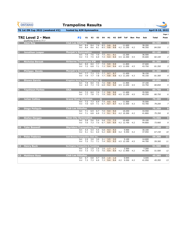| <b>GYMNASTICS</b><br><b>ONTARIO</b><br><b>SPORT STARTS HERE</b> | <b>Trampoline Results</b>                                               |                                                                       |                            |                          |
|-----------------------------------------------------------------|-------------------------------------------------------------------------|-----------------------------------------------------------------------|----------------------------|--------------------------|
| TG 1st ON Cup 2022 (weekend #2)                                 | hosted by AIM Gymnastics                                                |                                                                       | April 8-10, 2022           |                          |
| <b>TRI Level 2 - Men</b>                                        | <b>P2</b><br>E1<br>E <sub>2</sub><br>E <sub>3</sub>                     | <b>H2</b><br><b>Diff</b><br><b>ToF</b><br>Ε4<br>H1<br><b>Bon Pen</b>  | Sub<br><b>Total</b>        | Page 1<br>Posn           |
| Qualifying Score is 77.7<br><b>Alexi Roy</b><br>L               | <b>Club Les Sittelles</b>                                               | $\bf{O}$                                                              | 84.550                     | $\mathbf{1}$             |
|                                                                 | 7.6<br>8.4<br>8.4<br><b>Set</b><br>8.6<br>8.1<br>8.4<br>Vol             | 8.5<br>9.8<br>9.8<br>11.600<br>8.5<br>9.8<br>9.8<br>4.2 11.250<br>4.2 | 38.200<br>46.350<br>84.550 | $\mathbf{1}$             |
| <b>Jonathan Leaper</b><br>$\overline{\mathbf{2}}$               | <b>Manjak's Gymnastics</b>                                              | $\mathbf O$                                                           | 82.100                     | $\overline{2}$           |
|                                                                 | 7.6<br>7.6<br>7.0<br><b>Set</b><br>7.5<br>6.9<br>7.5<br>Vol             | 7.5<br>9.1<br>9.1<br>12.300<br>7.4<br>9.4<br>9.4<br>4.5 12.300<br>4.5 | 36.500<br>45.600<br>82.100 | $\overline{2}$           |
| <b>Nicholas Berzak</b><br>$\overline{\mathbf{3}}$               | <b>Airborne Trampoline KW</b>                                           | $\mathbf O$                                                           | 81.350                     | $\overline{\mathbf{3}}$  |
|                                                                 | 8.0<br>7.7<br>8.0<br><b>Set</b><br>7.1<br>7.2<br>6.8<br>Vol             | 7.9<br>9.9<br>9.9<br>11.800<br>7.3<br>9.4<br>9.4<br>4.5 11.050<br>4.5 | 37.600<br>43.750<br>81.350 | $\mathfrak{Z}$           |
| <b>Philippe Bondy</b><br>$\overline{4}$                         | <b>Manjak's Gymnastics</b>                                              | $\circ$                                                               | 81.300                     | $\overline{\mathbf{4}}$  |
|                                                                 | 7.3<br>7.7<br>7.3<br><b>Set</b><br>7.7<br>7.8<br>7.9<br>Vol             | 7.7<br>9.7<br>9.7<br>11.450<br>9.8<br>7.7<br>9.8<br>4.3 11.250<br>4.3 | 36.150<br>45.150<br>81.300 | $\overline{4}$           |
| <b>Shawn Garvin</b><br>5                                        | Kingston Aeros Trampoline Club Q                                        | 11.900                                                                | 80.850                     | 5                        |
|                                                                 | 8.0<br>7.6<br>7.8<br><b>Set</b><br>7.0<br>6.9<br>7.3<br>Vol             | 9.8<br>7.6<br>9.8<br>6.8<br>9.2<br>9.2<br>4.5 11.650<br>4.5           | 37.100<br>43.750<br>80.850 | 5 <sup>1</sup>           |
| <b>Tayshaun Forbes</b><br>6                                     | <b>OAA</b><br>7.2                                                       | O<br>7.3                                                              | 80.750                     | $\overline{\mathbf{6}}$  |
|                                                                 | 8.0<br>7.0<br><b>Set</b><br>7.7<br>7.8<br>7.1<br>Vol                    | 9.6<br>9.6<br>11.400<br>7.9<br>9.5<br>9.5<br>4.5 11.250<br>4.5        | 35.500<br>45.250<br>80.750 | 6                        |
| <b>Julian Collins</b>                                           | <b>Grand River Gymmies</b><br>Set 7.2 7.3 6.9                           | $\bf{O}$<br>11.500                                                    | 79.200                     | $\overline{\mathbf{z}}$  |
|                                                                 | Vol 7.0                                                                 | 7.4<br>9.5<br>9.5<br>6.9 7.1 6.7 9.7 9.7 4.3 11.500 4.3               | 35.500<br>79.200<br>43.700 | $\overline{z}$           |
| <b>Diego Poliquin</b><br>$\bf{8}$                               | <b>Club Les Sittelles</b><br>6.9<br>6.7<br>Set 7.1                      | $7.0$ 9.4<br>10.250<br>9.4                                            | 75.350<br>33.550           | 8                        |
|                                                                 | Vol 7.1<br>6.8                                                          | 6.9 7.3 9.1 9.1<br>4.2 10.300 4.2                                     | 41.800<br>75.350           | $\boldsymbol{8}$         |
| <b>Stefon Morgan</b><br>$\boldsymbol{9}$                        | <b>Rose City Gymnastics</b><br>Set 5.8 5.6<br>5.4                       | $5.8$ 7.3<br>7.3<br>10,400                                            | 73.900<br>29.100           | $\overline{9}$           |
|                                                                 | 7.5<br>Vol 7.0 7.3                                                      | $6.7$ 9.4<br>9.4<br>4.2 12.700 4.2                                    | 44.800<br>73.900           | 9                        |
| <b>Tyler Boswell</b><br><b>10</b>                               | <b>Skyriders Trampoline Place</b><br>Set 5.4 5.4 5.5                    | $5.8$ $9.3$<br>9.900<br>9.3                                           | 67.150<br>30.100           | 10                       |
|                                                                 | Vol 5.1 5.1 6.0                                                         | $5.2 \quad 8.9$<br>8.9 4.2 9.450 4.2                                  | 37.050<br>67.150           | 10                       |
| <b>Peter Fedorov</b><br>11                                      | <b>Just Bounce Trampoline Club Inc.</b><br><b>Set</b> 2.9<br>3.0<br>3.0 | $3.1\quad 3.5$<br>3.5<br>5.100                                        | 59.300<br>14.600           | $\overline{\mathbf{11}}$ |
|                                                                 | $7.2$ $7.1$<br>7.1<br>Vol                                               | 7.4 9.3 9.3 4.5 12.100 4.5                                            | 44.700<br>59.300           | 11                       |
| 12 Henry Buck                                                   | <b>Burlington Trampoline &amp; Tumbling</b><br>Set 1.5 1.5 1.5          | $1.6$ 1.7<br>2.500<br>1.7                                             | 51.500<br>7.200            | $\overline{\mathbf{12}}$ |
|                                                                 | 7.3<br>7.3<br>Vol 7.3                                                   | $7.6$ 9.4<br>4.2 11.900<br>9.4<br>4.2                                 | 51.500<br>44.300           | 12                       |
| <b>Matthew Ross</b><br><b>13</b>                                | <b>Club Les Sittelles</b><br>0.8<br>0.7<br>Set 0.7                      | $0.8$ 1.0<br>0.945<br>1.0                                             | 45.395<br>3.445            | 13                       |
|                                                                 | Vol 7.3 7.3                                                             | $6.9$ $7.3$ $9.4$<br>$9.4$ 4.2 9.550<br>4.2                           | 41.950<br>45.395           | 13                       |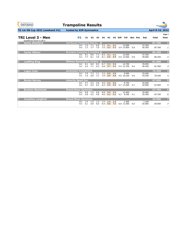| <b>GYMNASTICS</b><br><b>ONTARIO</b><br><b>SPORT STARTS HERE</b> | <b>Trampoline Results</b>                     |     |                |     |     |     |     |                         |     |                |        |                  |                         |
|-----------------------------------------------------------------|-----------------------------------------------|-----|----------------|-----|-----|-----|-----|-------------------------|-----|----------------|--------|------------------|-------------------------|
| TG 1st ON Cup 2022 (weekend #2)                                 | hosted by AIM Gymnastics                      |     |                |     |     |     |     |                         |     |                |        | April 8-10, 2022 |                         |
|                                                                 |                                               |     |                |     |     |     |     |                         |     |                |        |                  | Page 1                  |
| <b>TRI Level 3 - Men</b>                                        | <b>P2</b>                                     | E1  | E <sub>2</sub> | E3  | E4  | H1  |     | H <sub>2</sub> Diff ToF |     | <b>Bon Pen</b> | Sub    | <b>Total</b>     | Posn                    |
| Qualifying Score is 80.5<br><b>Sasha Shteflyuk</b><br>И.        | Just Bounce Trampoline Club Inc. O            |     |                |     |     |     |     |                         |     |                |        | 87.700           | $\mathbf{1}$            |
|                                                                 | <b>Set</b>                                    | 7.3 | 7.1            | 6.6 | 7.2 | 9.1 | 9.2 | 13.900                  |     |                | 37.350 |                  |                         |
|                                                                 | Vol                                           | 7.7 | 7.7            | 7.9 | 7.5 | 9.3 | 9.3 | 5.9 13.850              | 5.9 |                | 50.350 | 87.700           | $\mathbf{1}$            |
| <b>Carter Wilson</b><br>$\overline{2}$                          | <b>Burlington Trampoline &amp; Tumbling Q</b> |     |                |     |     |     |     |                         |     |                |        | 86.350           | $\overline{\mathbf{2}}$ |
|                                                                 | <b>Set</b>                                    | 8.1 | 8.0            | 7.3 | 8.3 | 9.2 | 9.2 | 12.050                  |     |                | 37.350 |                  |                         |
|                                                                 | Vol                                           | 7.7 | 8.1            | 7.6 | 8.1 | 8.6 | 8.9 | 5.9 12.650              | 5.9 |                | 49.000 | 86.350           | $\overline{2}$          |
| <b>LeeMing King</b><br>$\overline{\mathbf{3}}$                  | <b>Ottawa Gymnastics Centre O</b>             |     |                |     |     |     |     |                         |     |                |        | 81.500           | $\overline{\mathbf{3}}$ |
|                                                                 | <b>Set</b>                                    | 6.1 | 6.6            | 6.4 | 6.7 | 9.3 | 9.4 | 12.700                  |     |                | 35.050 |                  |                         |
|                                                                 | Vol                                           | 6.3 | 7.1            | 6.5 | 6.8 | 9.7 | 9.5 | 5.4 12.750              | 5.4 |                | 46.450 | 81.500           | $\mathfrak{Z}$          |
| <b>Logan Case</b><br>4                                          | ascension trampoline                          |     |                |     |     |     |     |                         |     |                |        | 76.450           | $\overline{\mathbf{4}}$ |
|                                                                 | <b>Set</b>                                    | 7.0 | 7.3            | 7.1 | 7.2 | 8.9 | 9.0 | 9.950                   |     |                | 33.200 |                  |                         |
|                                                                 | Vol                                           | 7.2 | 6.8            | 7.1 | 7.5 | 8.8 | 8.8 | 5.0 10.150              | 5.0 |                | 43.250 | 76.450           | $\overline{4}$          |
| <b>Ronan Harvey</b><br>5                                        | <b>Velocity Sport Inc.</b>                    |     |                |     |     |     |     |                         |     |                |        | 67.950           | 5                       |
|                                                                 | <b>Set</b>                                    | 4.7 | 5.2            | 4.8 | 4.9 | 6.6 | 6.6 | 8.750                   |     |                | 25.050 |                  |                         |
|                                                                 | Vol                                           | 6.7 | 6.4            | 6.2 | 6.5 | 9.0 | 8.9 | 4.7 11.650              | 4.7 |                | 42.900 | 67.950           | 5                       |
| <b>Braxton Macintosh</b><br>6                                   | <b>Grand River Gymmies</b>                    |     |                |     |     |     |     |                         |     |                |        | 67.750           | $6\phantom{1}6$         |
|                                                                 | <b>Set</b>                                    | 6.8 | 7.5            | 6.8 | 6.8 | 9.5 | 9.2 | 12.450                  |     |                | 35.400 |                  |                         |
|                                                                 | Vol                                           | 4.8 | 5.5            | 4.8 | 4.6 | 6.2 |     | $6.2$ 4.1 8.350         | 4.1 |                | 32.350 | 67.750           | 6                       |
| <b>Jonathan Langford</b>                                        | <b>Grand River Gymmies</b>                    |     |                |     |     |     |     |                         |     |                |        | 50.000           | 7                       |
|                                                                 | <b>Set</b>                                    | 1.4 | 1.4            | 1.4 | 1.4 | 2.0 | 2.0 | 2.300                   |     |                | 7.100  |                  |                         |
|                                                                 | Vol                                           | 6.1 | 5.8            | 6.0 | 6.4 | 8.6 | 7.0 | 6.0 11.000              | 6.0 |                | 42.900 | 50.000           | $\overline{z}$          |